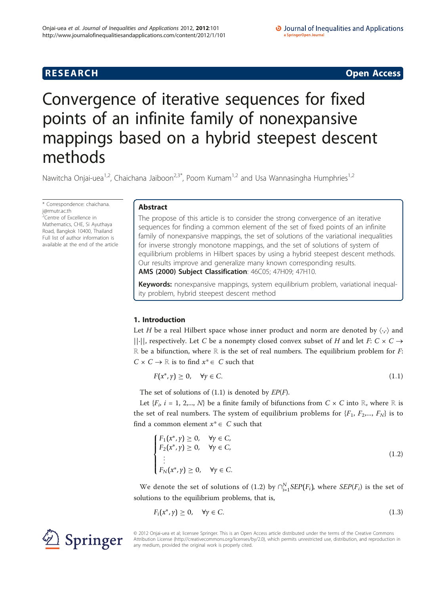**RESEARCH CONSTRUCTION CONSTRUCTS** 

# Convergence of iterative sequences for fixed points of an infinite family of nonexpansive mappings based on a hybrid steepest descent methods

Nawitcha Onjai-uea<sup>1,2</sup>, Chaichana Jaiboon<sup>2,3\*</sup>, Poom Kumam<sup>1,2</sup> and Usa Wannasingha Humphries<sup>1,2</sup>

\* Correspondence: [chaichana.](mailto:chaichana.j@rmutr.ac.th) [j@rmutr.ac.th](mailto:chaichana.j@rmutr.ac.th) <sup>2</sup>Centre of Excellence in Mathematics, CHE, Si Ayuthaya Road, Bangkok 10400, Thailand Full list of author information is available at the end of the article

Springer

# Abstract

The propose of this article is to consider the strong convergence of an iterative sequences for finding a common element of the set of fixed points of an infinite family of nonexpansive mappings, the set of solutions of the variational inequalities for inverse strongly monotone mappings, and the set of solutions of system of equilibrium problems in Hilbert spaces by using a hybrid steepest descent methods. Our results improve and generalize many known corresponding results.

AMS (2000) Subject Classification: 46C05; 47H09; 47H10.

Keywords: nonexpansive mappings, system equilibrium problem, variational inequality problem, hybrid steepest descent method

# 1. Introduction

Let H be a real Hilbert space whose inner product and norm are denoted by  $\langle \cdot, \cdot \rangle$  and  $||\cdot||$ , respectively. Let C be a nonempty closed convex subset of H and let F: C  $\times$  C  $\rightarrow$ R be a bifunction, where R is the set of real numbers. The equilibrium problem for  $F$ :  $C \times C \rightarrow \mathbb{R}$  is to find  $x^* \in C$  such that

$$
F(x^*, y) \ge 0, \quad \forall y \in C. \tag{1.1}
$$

The set of solutions of  $(1.1)$  is denoted by  $EP(F)$ .

Let  ${F_i, i = 1, 2,..., N}$  be a finite family of bifunctions from  $C \times C$  into ℝ, where ℝ is the set of real numbers. The system of equilibrium problems for  $\{F_1, F_2, ..., F_N\}$  is to find a common element  $x^* \in C$  such that

$$
\begin{cases}\nF_1(x^*, y) \ge 0, & \forall y \in C, \\
F_2(x^*, y) \ge 0, & \forall y \in C, \\
\vdots \\
F_N(x^*, y) \ge 0, & \forall y \in C.\n\end{cases}
$$
\n(1.2)

We denote the set of solutions of (1.2) by  $\bigcap_{i=1}^{N} SEP(F_i)$ , where  $SEP(F_i)$  is the set of solutions to the equilibrium problems, that is,

$$
F_i(x^*, y) \ge 0, \quad \forall y \in C. \tag{1.3}
$$

© 2012 Onjai-uea et al; licensee Springer. This is an Open Access article distributed under the terms of the Creative Commons Attribution License [\(http://creativecommons.org/licenses/by/2.0](http://creativecommons.org/licenses/by/2.0)), which permits unrestricted use, distribution, and reproduction in any medium, provided the original work is properly cited.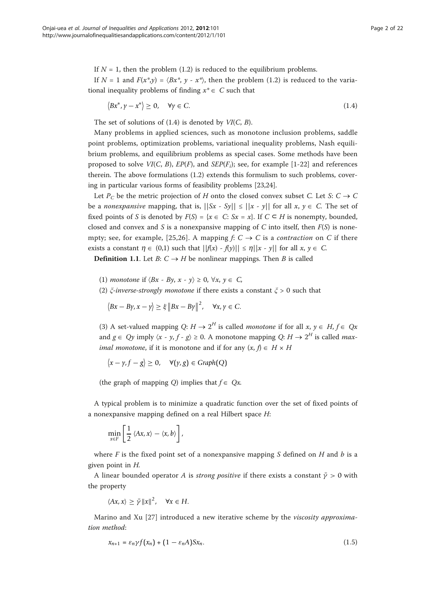If  $N = 1$ , then the problem (1.2) is reduced to the equilibrium problems.

If  $N = 1$  and  $F(x^*, y) = \langle Bx^*, y - x^* \rangle$ , then the problem (1.2) is reduced to the variational inequality problems of finding  $x^* \in C$  such that

$$
\langle Bx^*, y - x^* \rangle \ge 0, \quad \forall y \in C. \tag{1.4}
$$

The set of solutions of  $(1.4)$  is denoted by  $VI(C, B)$ .

Many problems in applied sciences, such as monotone inclusion problems, saddle point problems, optimization problems, variational inequality problems, Nash equilibrium problems, and equilibrium problems as special cases. Some methods have been proposed to solve  $VI(C, B)$ ,  $EP(F_i)$ , and  $SEP(F_i)$ ; see, for example [[1-](#page-20-0)[22\]](#page-21-0) and references therein. The above formulations (1.2) extends this formulism to such problems, covering in particular various forms of feasibility problems [\[23,24\]](#page-21-0).

Let  $P_C$  be the metric projection of H onto the closed convex subset C. Let S:  $C \rightarrow C$ be a *nonexpansive* mapping, that is,  $||Sx - Sy|| \le ||x - y||$  for all  $x, y \in C$ . The set of fixed points of S is denoted by  $F(S) = \{x \in C: Sx = x\}$ . If  $C \subseteq H$  is nonempty, bounded, closed and convex and S is a nonexpansive mapping of C into itself, then  $F(S)$  is none-mpty; see, for example, [[25](#page-21-0),[26\]](#page-21-0). A mapping  $f: C \to C$  is a *contraction* on C if there exists a constant  $\eta \in (0,1)$  such that  $||f(x) - f(y)|| \leq \eta ||x - y||$  for all  $x, y \in C$ .

**Definition 1.1.** Let  $B: C \rightarrow H$  be nonlinear mappings. Then B is called

- (1) monotone if  $\langle Bx By, x y \rangle \geq 0, \forall x, y \in C$ ,
- (2)  $\xi$ -inverse-strongly monotone if there exists a constant  $\xi > 0$  such that

$$
\langle Bx - By, x - y \rangle \ge \xi \|Bx - By\|^2, \quad \forall x, y \in C.
$$

(3) A set-valued mapping  $Q: H \to 2^H$  is called *monotone* if for all  $x, y \in H$ ,  $f \in Qx$ and  $g \in Qy$  imply  $\langle x - y, f - g \rangle \ge 0$ . A monotone mapping  $Q: H \to 2^H$  is called *maximal monotone*, if it is monotone and if for any  $(x, f) \in H \times H$ 

$$
\langle x - \gamma, f - g \rangle \ge 0, \quad \forall (\gamma, g) \in Graph(Q)
$$

(the graph of mapping Q) implies that  $f \in Qx$ .

A typical problem is to minimize a quadratic function over the set of fixed points of a nonexpansive mapping defined on a real Hilbert space H:

$$
\min_{x\in F}\left[\frac{1}{2}\left\langle Ax,x\right\rangle - \left\langle x,b\right\rangle\right],
$$

where F is the fixed point set of a nonexpansive mapping S defined on H and b is a given point in H.

A linear bounded operator A is *strong positive* if there exists a constant  $\bar{y} > 0$  with the property

$$
\langle Ax, x \rangle \ge \bar{\gamma} \|x\|^2, \quad \forall x \in H.
$$

Marino and Xu [\[27](#page-21-0)] introduced a new iterative scheme by the viscosity approximation method:

$$
x_{n+1} = \varepsilon_n \gamma f(x_n) + (1 - \varepsilon_n A) S x_n. \tag{1.5}
$$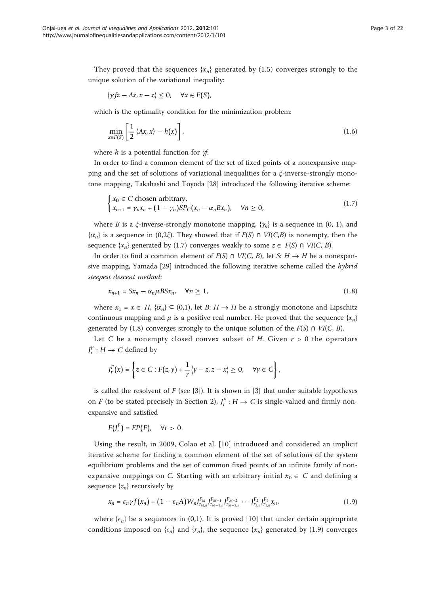They proved that the sequences  $\{x_n\}$  generated by (1.5) converges strongly to the unique solution of the variational inequality:

$$
\langle \gamma f z - Az, x - z \rangle \leq 0, \quad \forall x \in F(S),
$$

which is the optimality condition for the minimization problem:

$$
\min_{x \in F(S)} \left[ \frac{1}{2} \langle Ax, x \rangle - h(x) \right],\tag{1.6}
$$

where  $h$  is a potential function for  $H$ .

In order to find a common element of the set of fixed points of a nonexpansive mapping and the set of solutions of variational inequalities for a  $\zeta$ -inverse-strongly monotone mapping, Takahashi and Toyoda [[28](#page-21-0)] introduced the following iterative scheme:

$$
\begin{cases} x_0 \in C \text{ chosen arbitrary,} \\ x_{n+1} = \gamma_n x_n + (1 - \gamma_n) S P_C(x_n - \alpha_n B x_n), \quad \forall n \ge 0, \end{cases}
$$
 (1.7)

where B is a  $\xi$ -inverse-strongly monotone mapping,  $\{\gamma_n\}$  is a sequence in (0, 1), and  $\{\alpha_n\}$  is a sequence in  $(0,2\zeta)$ . They showed that if  $F(S) \cap VI(C,B)$  is nonempty, then the sequence  $\{x_n\}$  generated by (1.7) converges weakly to some  $z \in F(S) \cap VI(C, B)$ .

In order to find a common element of  $F(S) \cap VI(C, B)$ , let S:  $H \rightarrow H$  be a nonexpansive mapping, Yamada [[29](#page-21-0)] introduced the following iterative scheme called the hybrid steepest descent method:

$$
x_{n+1} = Sx_n - \alpha_n \mu B Sx_n, \quad \forall n \ge 1,
$$
\n
$$
(1.8)
$$

where  $x_1 = x \in H$ ,  $\{\alpha_n\} \subset (0,1)$ , let B:  $H \to H$  be a strongly monotone and Lipschitz continuous mapping and  $\mu$  is a positive real number. He proved that the sequence  $\{x_n\}$ generated by (1.8) converges strongly to the unique solution of the  $F(S) \cap VI(C, B)$ .

Let C be a nonempty closed convex subset of H. Given  $r > 0$  the operators  $J_r^F: H \to C$  defined by

$$
J_r^F(x) = \left\{ z \in C : F(z, \gamma) + \frac{1}{r} \langle \gamma - z, z - x \rangle \geq 0, \quad \forall \gamma \in C \right\},\
$$

is called the resolvent of  $F$  (see [\[3](#page-20-0)]). It is shown in [3] that under suitable hypotheses on *F* (to be stated precisely in Section 2),  $J_r^F$  :  $H \to C$  is single-valued and firmly nonexpansive and satisfied

$$
F(J_r^F)=EP(F),\quad \forall r>0.
$$

Using the result, in 2009, Colao et al. [\[10\]](#page-20-0) introduced and considered an implicit iterative scheme for finding a common element of the set of solutions of the system equilibrium problems and the set of common fixed points of an infinite family of nonexpansive mappings on C. Starting with an arbitrary initial  $x_0 \in C$  and defining a sequence  $\{z_n\}$  recursively by

$$
x_n = \varepsilon_n \gamma f(x_n) + (1 - \varepsilon_n A) W_n J_{r_{M,n}}^{F_M} J_{r_{M-1,n}}^{F_{M-1}} J_{r_{M-2,n}}^{F_{M-2}} \cdots J_{r_{2,n}}^{F_2} J_{r_{1,n}}^{F_1} x_n,
$$
(1.9)

where  $\{\epsilon_n\}$  be a sequences in (0,1). It is proved [[10\]](#page-20-0) that under certain appropriate conditions imposed on  $\{\epsilon_n\}$  and  $\{r_n\}$ , the sequence  $\{x_n\}$  generated by (1.9) converges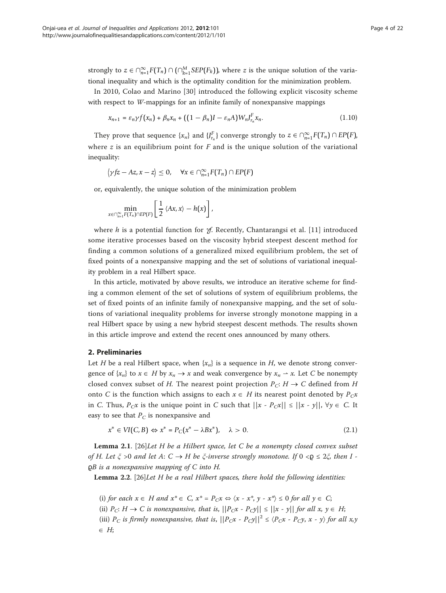strongly to  $z \in \bigcap_{n=1}^{\infty} F(T_n) \cap \big(\bigcap_{k=1}^{M} SEP(F_k)\big)$ , where  $z$  is the unique solution of the variational inequality and which is the optimality condition for the minimization problem.

In 2010, Colao and Marino [\[30](#page-21-0)] introduced the following explicit viscosity scheme with respect to W-mappings for an infinite family of nonexpansive mappings

$$
x_{n+1} = \varepsilon_n \gamma f(x_n) + \beta_n x_n + \left( (1 - \beta_n)I - \varepsilon_n A \right) W_n J_{r_n}^F x_n. \tag{1.10}
$$

They prove that sequence  $\{x_n\}$  and  $\{f_{r_n}^F\}$  converge strongly to  $z \in \bigcap_{n=1}^{\infty} F(T_n) \cap EP(F)$ , where  $z$  is an equilibrium point for  $F$  and is the unique solution of the variational inequality:

$$
\langle \gamma f z - Az, x - z \rangle \leq 0, \quad \forall x \in \cap_{n=1}^{\infty} F(T_n) \cap EP(F)
$$

or, equivalently, the unique solution of the minimization problem

$$
\min_{x \in \cap_{n=1}^{\infty} F(T_n) \cap EP(F)} \left[ \frac{1}{2} \langle Ax, x \rangle - h(x) \right],
$$

where h is a potential function for  $\gamma f$ . Recently, Chantarangsi et al. [\[11](#page-20-0)] introduced some iterative processes based on the viscosity hybrid steepest descent method for finding a common solutions of a generalized mixed equilibrium problem, the set of fixed points of a nonexpansive mapping and the set of solutions of variational inequality problem in a real Hilbert space.

In this article, motivated by above results, we introduce an iterative scheme for finding a common element of the set of solutions of system of equilibrium problems, the set of fixed points of an infinite family of nonexpansive mapping, and the set of solutions of variational inequality problems for inverse strongly monotone mapping in a real Hilbert space by using a new hybrid steepest descent methods. The results shown in this article improve and extend the recent ones announced by many others.

# 2. Preliminaries

Let H be a real Hilbert space, when  $\{x_n\}$  is a sequence in H, we denote strong convergence of  $\{x_n\}$  to  $x \in H$  by  $x_n \to x$  and weak convergence by  $x_n \to x$ . Let C be nonempty closed convex subset of H. The nearest point projection  $P_C: H \to C$  defined from H onto C is the function which assigns to each  $x \in H$  its nearest point denoted by  $P_Cx$ in C. Thus,  $P_Cx$  is the unique point in C such that  $||x - P_Cx|| \le ||x - y||$ ,  $\forall y \in C$ . It easy to see that  $P_C$  is nonexpansive and

$$
x^* \in VI(C, B) \Leftrightarrow x^* = P_C(x^* - \lambda Bx^*), \quad \lambda > 0. \tag{2.1}
$$

**Lemma 2.1.** [\[26](#page-21-0)]Let H be a Hilbert space, let C be a nonempty closed convex subset of H. Let  $\xi > 0$  and let A:  $C \to H$  be  $\xi$ -inverse strongly monotone. If  $0 < \rho \leq 2\xi$ , then I - $QB$  is a nonexpansive mapping of C into H.

**Lemma 2.2.** [\[26](#page-21-0)] Let  $H$  be a real Hilbert spaces, there hold the following identities:

(i) for each  $x \in H$  and  $x^* \in C$ ,  $x^* = P_Cx \Leftrightarrow \langle x - x^*, y - x^* \rangle \le 0$  for all  $y \in C$ ; (ii)  $P_C: H \to C$  is nonexpansive, that is,  $||P_Cx - P_Cy|| \le ||x - y||$  for all  $x, y \in H$ ; (iii)  $P_C$  is firmly nonexpansive, that is,  $||P_Cx - P_Cy||^2 \le \langle P_Cx - P_Cy, x - y \rangle$  for all x,y  $\in H$ ;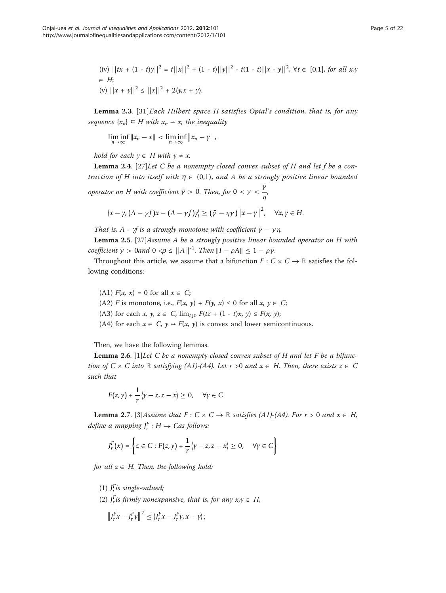(iv) 
$$
||tx + (1 - t)y||^2 = t||x||^2 + (1 - t)||y||^2 - t(1 - t)||x - y||^2
$$
, ∀t ∈ [0,1], for all x,y  
\n∈ H;  
\n(v)  $||x + y||^2 \le ||x||^2 + 2\langle y, x + y \rangle$ .

**Lemma 2.3.** [[31](#page-21-0)] Each Hilbert space H satisfies Opial's condition, that is, for any sequence  $\{x_n\} \subseteq H$  with  $x_n \to x$ , the inequality

$$
\liminf_{n\to\infty}||x_n-x||<\liminf_{n\to\infty}||x_n-y||,
$$

hold for each  $y \in H$  with  $y \neq x$ .

**Lemma 2.4.** [[27\]](#page-21-0) Let C be a nonempty closed convex subset of H and let f be a contraction of H into itself with  $\eta \in (0,1)$ , and A be a strongly positive linear bounded

operator on H with coefficient  $\bar{\gamma} > 0$ . Then, for  $0 < \gamma < \frac{\bar{y}}{n}$  $\frac{1}{\eta}$ 

$$
\langle x - \gamma, (A - \gamma f)x - (A - \gamma f)\gamma \rangle \ge (\bar{\gamma} - \eta \gamma) \|x - \gamma\|^2, \quad \forall x, \gamma \in H.
$$

That is, A -  $\gamma f$  is a strongly monotone with coefficient  $\bar{\gamma} - \gamma \eta$ .

Lemma 2.5. [\[27](#page-21-0)] Assume A be a strongly positive linear bounded operator on H with coefficient  $\bar{\gamma} > 0$ and  $0 < \rho \leq ||A||^{-1}$ . Then  $||I - \rho A|| \leq 1 - \rho \bar{\gamma}$ .

Throughout this article, we assume that a bifunction  $F: C \times C \rightarrow \mathbb{R}$  satisfies the following conditions:

(A1)  $F(x, x) = 0$  for all  $x \in C$ ; (A2) F is monotone, i.e.,  $F(x, y) + F(y, x) \le 0$  for all  $x, y \in C$ ; (A3) for each x, y,  $z \in C$ ,  $\lim_{t \to 0} F(tz + (1 - t)x, y) \leq F(x, y);$ (A4) for each  $x \in C$ ,  $y \mapsto F(x, y)$  is convex and lower semicontinuous.

Then, we have the following lemmas.

**Lemma 2.6.** [[1](#page-20-0)] Let C be a nonempty closed convex subset of H and let F be a bifunction of  $C \times C$  into ℝ satisfying (A1)-(A4). Let  $r > 0$  and  $x \in H$ . Then, there exists  $z \in C$ such that

$$
F(z, \gamma) + \frac{1}{r} \langle \gamma - z, z - x \rangle \geq 0, \quad \forall \gamma \in C.
$$

**Lemma 2.7.** [[3\]](#page-20-0)Assume that  $F: C \times C \rightarrow \mathbb{R}$  satisfies (A1)-(A4). For  $r > 0$  and  $x \in H$ , define a mapping  $J_r^F : H \to Cas$  follows:

$$
J_r^F(x) = \left\{ z \in C : F(z, \gamma) + \frac{1}{r} \left\langle \gamma - z, z - x \right\rangle \ge 0, \quad \forall \gamma \in C \right\}
$$

for all  $z \in H$ . Then, the following hold:

(1)  $J_r^F$  *is single-valued*;

(2)  $J_r^F$  *is firmly nonexpansive, that is, for any*  $x, y \in H$ *,* 

$$
\left\|J_r^F x - J_r^F \gamma\right\|^2 \le \left\langle J_r^F x - J_r^F \gamma, x - \gamma\right\rangle;
$$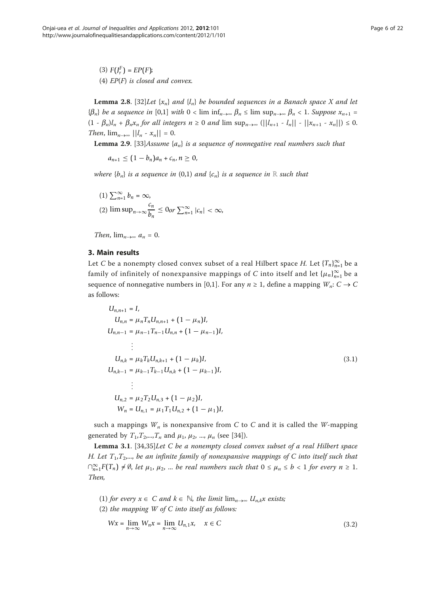(3)  $F(J_r^F) = EP(F);$ (4)  $EP(F)$  is closed and convex.

**Lemma 2.8.** [[32\]](#page-21-0)Let  $\{x_n\}$  and  $\{l_n\}$  be bounded sequences in a Banach space X and let  ${\{\beta_n\}}$  be a sequence in [0,1] with  $0 < \liminf_{n \to \infty} \beta_n \le \limsup_{n \to \infty} \beta_n < 1$ . Suppose  $x_{n+1} =$  $(1 - \beta_n)l_n + \beta_n x_n$  for all integers  $n \ge 0$  and  $\limsup_{n \to \infty} (||l_{n+1} - l_n|| - ||x_{n+1} - x_n||) \le 0$ . Then,  $\lim_{n\to\infty}$   $||l_n - x_n|| = 0$ .

**Lemma 2.9.** [\[33](#page-21-0)]Assume  $\{a_n\}$  is a sequence of nonnegative real numbers such that

 $a_{n+1} \leq (1 - b_n)a_n + c_n, n > 0,$ 

where  ${b_n}$  is a sequence in (0,1) and  ${c_n}$  is a sequence in ℝ such that

(1) 
$$
\sum_{n=1}^{\infty} b_n = \infty
$$
,  
(2)  $\limsup_{n \to \infty} \frac{c_n}{b_n} \le 0$  or  $\sum_{n=1}^{\infty} |c_n| < \infty$ ,

Then,  $\lim_{n\to\infty} a_n = 0$ .

## 3. Main results

Let C be a nonempty closed convex subset of a real Hilbert space H. Let  $\{T_n\}_{n=1}^\infty$  be a family of infinitely of nonexpansive mappings of C into itself and let  $\{\mu_n\}_{n=1}^\infty$  be a sequence of nonnegative numbers in [0,1]. For any  $n \ge 1$ , define a mapping  $W_n: C \to C$ as follows:

$$
U_{n,n+1} = I,
$$
  
\n
$$
U_{n,n} = \mu_n T_n U_{n,n+1} + (1 - \mu_n) I,
$$
  
\n
$$
U_{n,n-1} = \mu_{n-1} T_{n-1} U_{n,n} + (1 - \mu_{n-1}) I,
$$
  
\n
$$
\vdots
$$
  
\n
$$
U_{n,k} = \mu_k T_k U_{n,k+1} + (1 - \mu_k) I,
$$
  
\n
$$
U_{n,k-1} = \mu_{k-1} T_{k-1} U_{n,k} + (1 - \mu_{k-1}) I,
$$
  
\n
$$
\vdots
$$
  
\n
$$
U_{n,2} = \mu_2 T_2 U_{n,3} + (1 - \mu_2) I,
$$
  
\n
$$
W_n = U_{n,1} = \mu_1 T_1 U_{n,2} + (1 - \mu_1) I,
$$
  
\n(3.1)

such a mappings  $W_n$  is nonexpansive from C to C and it is called the W-mapping generated by  $T_1, T_2, ..., T_n$  and  $\mu_1, \mu_2, ..., \mu_n$  (see [\[34](#page-21-0)]).

Lemma 3.1. [[34,35\]](#page-21-0)Let C be a nonempty closed convex subset of a real Hilbert space H. Let  $T_1, T_2,...$ , be an infinite family of nonexpansive mappings of C into itself such that  $\bigcap_{n=1}^{\infty} F(T_n) \neq \emptyset$ , let  $\mu_1, \mu_2, ...$  be real numbers such that  $0 \leq \mu_n \leq b < 1$  for every  $n \geq 1$ . Then,

(1) for every  $x \in C$  and  $k \in \mathbb{N}$ , the limit  $\lim_{n \to \infty} U_{n,k}x$  exists;

(2) the mapping  $W$  of  $C$  into itself as follows:

$$
Wx = \lim_{n \to \infty} W_n x = \lim_{n \to \infty} U_{n,1} x, \quad x \in C
$$
\n(3.2)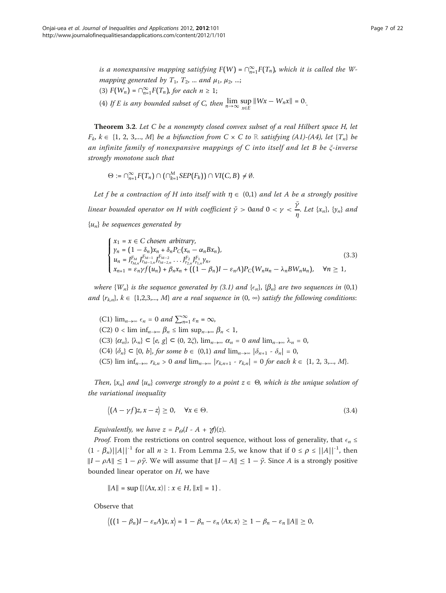is a nonexpansive mapping satisfying  $F(W) = \cap_{n=1}^{\infty} F(T_n)$ , which it is called the Wmapping generated by  $T_1$ ,  $T_2$ , ... and  $\mu_1$ ,  $\mu_2$ , ...; (3)  $F(W_n) = \bigcap_{n=1}^{\infty} F(T_n)$ , for each  $n \geq 1$ ;

(4) If *E* is any bounded subset of *C*, then  $\lim_{n\to\infty} \sup_{x\in E} ||Wx - W_n x|| = 0$ .

Theorem 3.2. Let C be a nonempty closed convex subset of a real Hilbert space H, let  $F_k$ ,  $k \in \{1, 2, 3,..., M\}$  be a bifunction from  $C \times C$  to ℝ satisfying (A1)-(A4), let  ${T_n}$  be an infinite family of nonexpansive mappings of C into itself and let B be ξ-inverse strongly monotone such that

$$
\Theta := \cap_{n=1}^{\infty} F(T_n) \cap (\cap_{k=1}^{M} \text{SEP}(F_k)) \cap VI(C, B) \neq \emptyset.
$$

Let f be a contraction of H into itself with  $\eta \in (0,1)$  and let A be a strongly positive linear bounded operator on H with coefficient  $\bar{\gamma} > 0$ and  $0 < \gamma < \frac{\bar{\gamma}}{r}$  $\frac{1}{\eta}$ . Let  $\{x_n\}$ ,  $\{y_n\}$  and  ${u_n}$  be sequences generated by

$$
\begin{cases}\n x_1 = x \in C \text{ chosen arbitrary,} \\
 y_n = (1 - \delta_n) x_n + \delta_n P_C(x_n - \alpha_n B x_n), \\
 u_n = J_{r_{M,n}}^{F_M} J_{r_{M-1,n}}^{F_{M-1}} J_{r_{M-2,n}}^{F_{M-2}} \dots J_{r_{2,n}}^{F_2} J_{r_{1,n}}^{F_1} \gamma_n, \\
 x_{n+1} = \varepsilon_n \gamma f(u_n) + \beta_n x_n + ((1 - \beta_n)I - \varepsilon_n A) P_C(W_n u_n - \lambda_n B W_n u_n), \quad \forall n \ge 1,\n\end{cases}
$$
\n(3.3)

where  $\{W_n\}$  is the sequence generated by (3.1) and  $\{\epsilon_n\}$ ,  $\{\beta_n\}$  are two sequences in (0,1) and  $\{r_{k,n}\}, k \in \{1,2,3,..., M\}$  are a real sequence in  $(0, \infty)$  satisfy the following conditions:

(C1)  $\lim_{n\to\infty} \epsilon_n = 0$  and  $\sum_{n=1}^{\infty} \epsilon_n = \infty$ , (C2) 0 < lim inf<sub>n→∞</sub>  $\beta_n \leq \limsup_{n\to\infty} \beta_n < 1$ , (C3)  $\{\alpha_n\}, \{\lambda_n\} \subset [e, g] \subset (0, 2\xi), \lim_{n \to \infty} \alpha_n = 0$  and  $\lim_{n \to \infty} \lambda_n = 0$ , (C4)  $\{\delta_n\} \subset [0, b]$ , for some  $b \in (0,1)$  and  $\lim_{n\to\infty} |\delta_{n+1} - \delta_n| = 0$ , (C5) lim inf<sub>n→∞</sub>  $r_{k,n} > 0$  and lim<sub>n→∞</sub>  $|r_{k,n+1} - r_{k,n}| = 0$  for each  $k \in \{1, 2, 3,..., M\}$ .

Then,  $\{x_n\}$  and  $\{u_n\}$  converge strongly to a point  $z \in \Theta$ , which is the unique solution of the variational inequality

$$
\langle (A - \gamma f)z, x - z \rangle \ge 0, \quad \forall x \in \Theta.
$$
\n(3.4)

Equivalently, we have  $z = P_{\Theta}(I - A + \gamma f)(z)$ .

*Proof.* From the restrictions on control sequence, without loss of generality, that  $\epsilon_n \leq$  $(1 - \beta_n)|A||^{-1}$  for all  $n \ge 1$ . From Lemma 2.5, we know that if  $0 \le \rho \le ||A||^{-1}$ , then  $\|I - \rho A\| \leq 1 - \rho \bar{\gamma}$ . We will assume that  $\|I - A\| \leq 1 - \bar{\gamma}$ . Since A is a strongly positive bounded linear operator on  $H$ , we have

$$
||A|| = \sup \{ |\langle Ax, x \rangle| : x \in H, ||x|| = 1 \}.
$$

Observe that

$$
\left\langle \left(\left(1-\beta_n\right)I-\varepsilon_nA\right)x,x\right\rangle=1-\beta_n-\varepsilon_n\left\langle Ax,x\right\rangle\geq 1-\beta_n-\varepsilon_n\left\|A\right\|\geq 0,
$$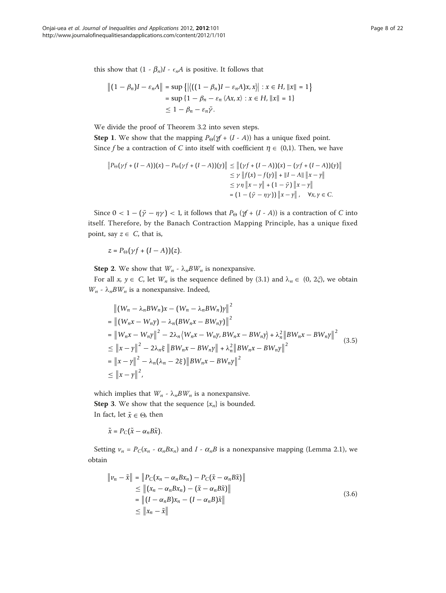this show that  $(1 - \beta_n)I - \epsilon_n A$  is positive. It follows that

$$
\|(1 - \beta_n)I - \varepsilon_n A\| = \sup \{|\langle ((1 - \beta_n)I - \varepsilon_n A)x, x \rangle| : x \in H, ||x|| = 1\}
$$
  
= 
$$
\sup \{1 - \beta_n - \varepsilon_n \langle Ax, x \rangle : x \in H, ||x|| = 1\}
$$
  

$$
\leq 1 - \beta_n - \varepsilon_n \bar{\gamma}.
$$

We divide the proof of Theorem 3.2 into seven steps.

**Step 1.** We show that the mapping  $P_{\Theta}(\gamma f + (I - A))$  has a unique fixed point. Since f be a contraction of C into itself with coefficient  $\eta \in (0,1)$ . Then, we have

$$
||P_{\Theta}(\gamma f + (I - A))(x) - P_{\Theta}(\gamma f + (I - A))(y)|| \le ||(\gamma f + (I - A))(x) - (\gamma f + (I - A))(y)||
$$
  
\n
$$
\le \gamma ||f(x) - f(y)|| + ||I - A|| ||x - y||
$$
  
\n
$$
\le \gamma \eta ||x - y|| + (1 - \bar{\gamma}) ||x - y||
$$
  
\n
$$
= (1 - (\bar{\gamma} - \eta \gamma)) ||x - y||, \quad \forall x, y \in C.
$$

Since  $0 < 1 - (\bar{\gamma} - \eta \gamma) < 1$ , it follows that  $P_{\Theta} (\gamma + (I - A))$  is a contraction of C into itself. Therefore, by the Banach Contraction Mapping Principle, has a unique fixed point, say  $z \in C$ , that is,

 $z = P_{\Theta}(\gamma f + (I - A))(z).$ 

**Step 2.** We show that  $W_n$  -  $\lambda_n BW_n$  is nonexpansive.

For all  $x, y \in C$ , let  $W_n$  is the sequence defined by (3.1) and  $\lambda_n \in (0, 2\xi)$ , we obtain  $W_n$  -  $\lambda_n BW_n$  is a nonexpansive. Indeed,

$$
\| (W_n - \lambda_n BW_n)x - (W_n - \lambda_nBW_n)y \|^2
$$
  
\n
$$
= \| (W_nx - W_ny) - \lambda_n (BW_nx - BW_ny) \|^2
$$
  
\n
$$
= \| W_nx - W_ny \|^2 - 2\lambda_n \langle W_nx - W_ny, BW_nx - BW_ny \rangle + \lambda_n^2 \| BW_nx - BW_ny \|^2
$$
  
\n
$$
\le \| x - y \|^2 - 2\lambda_n \xi \| BW_nx - BW_ny \|^2 + \lambda_n^2 \|BW_nx - BW_ny \|^2
$$
  
\n
$$
= \| x - y \|^2 - \lambda_n (\lambda_n - 2\xi) \|BW_nx - BW_ny \|^2
$$
  
\n
$$
\le \| x - y \|^2,
$$
 (3.5)

which implies that  $W_n$  -  $\lambda_n BW_n$  is a nonexpansive. **Step 3.** We show that the sequence  $\{x_n\}$  is bounded. In fact, let  $\tilde{x} \in \Theta$ , then

$$
\tilde{x}=P_C(\tilde{x}-\alpha_nB\tilde{x}).
$$

Setting  $v_n = P_C(x_n - \alpha_n Bx_n)$  and  $I - \alpha_n B$  is a nonexpansive mapping (Lemma 2.1), we obtain

$$
\|v_n - \tilde{x}\| = \|P_C(x_n - \alpha_n B x_n) - P_C(\tilde{x} - \alpha_n B \tilde{x})\|
$$
  
\n
$$
\leq \|(x_n - \alpha_n B x_n) - (\tilde{x} - \alpha_n B \tilde{x})\|
$$
  
\n
$$
= \|(I - \alpha_n B) x_n - (I - \alpha_n B) \tilde{x}\|
$$
  
\n
$$
\leq \|x_n - \tilde{x}\|
$$
\n(3.6)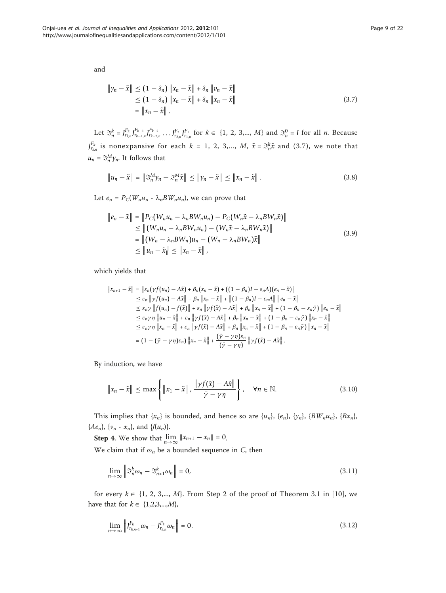and

$$
\|y_n - \tilde{x}\| \le (1 - \delta_n) \|x_n - \tilde{x}\| + \delta_n \|v_n - \tilde{x}\|
$$
  
\n
$$
\le (1 - \delta_n) \|x_n - \tilde{x}\| + \delta_n \|x_n - \tilde{x}\|
$$
  
\n
$$
= \|x_n - \tilde{x}\|.
$$
\n(3.7)

Let  $\mathfrak{R}_{n}^{k} = J_{r_{k,n}}^{F_{k}} J_{r_{k-1,n}}^{F_{k-1}} J_{r_{k-2,n}}^{F_{k-2}} \dots J_{r_{2,n}}^{F_{2}} J_{r_{1,n}}^{F_{1}}$  for  $k \in \{1, 2, 3,..., M\}$  and  $\mathfrak{S}_{n}^{0} = I$  for all *n*. Because *J*<sup>*F<sub>k,</sub>n*</sub> is nonexpansive for each  $k = 1, 2, 3,..., M$ ,  $\tilde{x} = \mathfrak{S}_n^k \tilde{x}$  and (3.7), we note that</sup>  $u_n = \mathfrak{S}_n^M \gamma_n$ . It follows that

$$
\|u_n - \tilde{x}\| = \|\mathfrak{S}_n^M \gamma_n - \mathfrak{S}_n^M \tilde{x}\| \le \|\gamma_n - \tilde{x}\| \le \|x_n - \tilde{x}\|.
$$
 (3.8)

Let  $e_n = P_C(W_nu_n - \lambda_nBW_nu_n)$ , we can prove that

$$
\|e_n - \tilde{x}\| = \|P_C(W_n u_n - \lambda_n BW_n u_n) - P_C(W_n \tilde{x} - \lambda_n BW_n \tilde{x})\|
$$
  
\n
$$
\leq \|(W_n u_n - \lambda_n BW_n u_n) - (W_n \tilde{x} - \lambda_n BW_n \tilde{x})\|
$$
  
\n
$$
= \|(W_n - \lambda_n BW_n)u_n - (W_n - \lambda_n BW_n) \tilde{x}\|
$$
  
\n
$$
\leq \|u_n - \tilde{x}\| \leq \|x_n - \tilde{x}\|,
$$
\n(3.9)

which yields that

$$
\|x_{n+1} - \tilde{x}\| = \|\varepsilon_n(\gamma f(u_n) - A\tilde{x}) + \beta_n(x_n - \tilde{x}) + ((1 - \beta_n)I - \varepsilon_n A)(e_n - \tilde{x})\|
$$
  
\n
$$
\leq \varepsilon_n \|\gamma f(u_n) - A\tilde{x}\| + \beta_n \|x_n - \tilde{x}\| + \|(1 - \beta_n)I - \varepsilon_n A\| \|e_n - \tilde{x}\|
$$
  
\n
$$
\leq \varepsilon_n \gamma \|f(u_n) - f(\tilde{x})\| + \varepsilon_n \|\gamma f(\tilde{x}) - A\tilde{x}\| + \beta_n \|x_n - \tilde{x}\| + (1 - \beta_n - \varepsilon_n \tilde{\gamma}) \|e_n - \tilde{x}\|
$$
  
\n
$$
\leq \varepsilon_n \gamma \eta \|u_n - \tilde{x}\| + \varepsilon_n \|\gamma f(\tilde{x}) - A\tilde{x}\| + \beta_n \|x_n - \tilde{x}\| + (1 - \beta_n - \varepsilon_n \tilde{\gamma}) \|x_n - \tilde{x}\|
$$
  
\n
$$
\leq \varepsilon_n \gamma \eta \|x_n - \tilde{x}\| + \varepsilon_n \|\gamma f(\tilde{x}) - A\tilde{x}\| + \beta_n \|x_n - \tilde{x}\| + (1 - \beta_n - \varepsilon_n \tilde{\gamma}) \|x_n - \tilde{x}\|
$$
  
\n
$$
= (1 - (\tilde{\gamma} - \gamma \eta)\varepsilon_n) \|x_n - \tilde{x}\| + \frac{(\tilde{\gamma} - \gamma \eta)\varepsilon_n}{(\tilde{\gamma} - \gamma \eta)} \| \gamma f(\tilde{x}) - A\tilde{x}\|.
$$

By induction, we have

$$
\|x_n - \tilde{x}\| \le \max\left\{ \|x_1 - \tilde{x}\|, \frac{\|\gamma f(\tilde{x}) - A\tilde{x}\|}{\bar{\gamma} - \gamma \eta} \right\}, \quad \forall n \in \mathbb{N}.
$$
 (3.10)

This implies that  $\{x_n\}$  is bounded, and hence so are  $\{u_n\}$ ,  $\{e_n\}$ ,  $\{y_n\}$ ,  $\{BW_nu_n\}$ ,  $\{Bx_n\}$ , { $Ae_n$ }, { $v_n - x_n$ }, and { $f(u_n)$ }.

**Step 4.** We show that  $\lim_{n \to \infty} ||x_{n+1} - x_n|| = 0$ .

We claim that if  $\omega_n$  be a bounded sequence in C, then

$$
\lim_{n \to \infty} \left\| \mathfrak{S}_n^k \omega_n - \mathfrak{S}_{n+1}^k \omega_n \right\| = 0,
$$
\n(3.11)

for every  $k \in \{1, 2, 3,..., M\}$ . From Step 2 of the proof of Theorem 3.1 in [[10](#page-20-0)], we have that for  $k \in \{1,2,3,...,M\}$ ,

$$
\lim_{n \to \infty} \left\| J_{r_{k,n+1}}^{F_k} \omega_n - J_{r_{k,n}}^{F_k} \omega_n \right\| = 0.
$$
\n(3.12)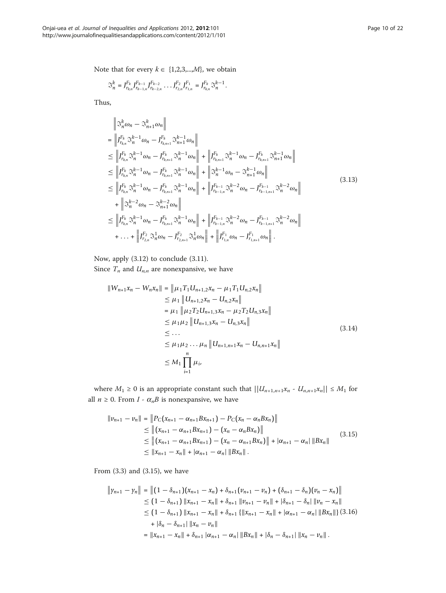Note that for every  $k \in \{1,2,3,...,M\}$ , we obtain

$$
\mathbb{S}_{n}^{k}=J_{r_{k,n}}^{F_{k}}J_{r_{k-1,n}}^{F_{k-1}}J_{r_{k-2,n}}^{F_{k-2}}\cdot\cdot\cdot J_{r_{2,n}}^{F_{2}}J_{r_{1,n}}^{F_{1}}=J_{r_{k,n}}^{F_{k}}\mathbb{S}_{n}^{k-1}.
$$

Thus,

$$
\begin{split}\n&\left\|\mathfrak{F}_{n}^{k}\omega_{n}-\mathfrak{F}_{n+1}^{k}\omega_{n}\right\| \\
&= \left\|J_{r_{k,n}}^{F_{k}}\mathfrak{F}_{n}^{k-1}\omega_{n}-J_{r_{k,n+1}}^{F_{k}}\mathfrak{F}_{n+1}^{k-1}\omega_{n}\right\| \\
&\leq \left\|J_{r_{k,n}}^{F_{k}}\mathfrak{F}_{n}^{k-1}\omega_{n}-J_{r_{k,n+1}}^{F_{k}}\mathfrak{F}_{n}^{k-1}\omega_{n}\right\| + \left\|J_{r_{k,n+1}}^{F_{k}}\mathfrak{F}_{n}^{k-1}\omega_{n}-J_{r_{k,n+1}}^{F_{k}}\mathfrak{F}_{n}^{k-1}\omega_{n}\right\| \\
&\leq \left\|J_{r_{k,n}}^{F_{k}}\mathfrak{F}_{n}^{k-1}\omega_{n}-J_{r_{k,n+1}}^{F_{k}}\mathfrak{F}_{n}^{k-1}\omega_{n}\right\| + \left\|\mathfrak{F}_{n}^{k-1}\omega_{n}-\mathfrak{F}_{n+1}^{k-1}\omega_{n}\right\| \\
&\leq \left\|J_{r_{k,n}}^{F_{k}}\mathfrak{F}_{n}^{k-1}\omega_{n}-J_{r_{k,n+1}}^{F_{k}}\mathfrak{F}_{n}^{k-1}\omega_{n}\right\| + \left\|J_{r_{k-1,n}}^{F_{k-1}}\mathfrak{F}_{n}^{k-2}\omega_{n}-J_{r_{k-1,n+1}}^{F_{k-1}}\mathfrak{F}_{n}^{k-2}\omega_{n}\right\| \\
&+ \left\|\mathfrak{F}_{n}^{k-2}\omega_{n}-\mathfrak{F}_{n+1}^{k-2}\omega_{n}\right\| \\
&\leq \left\|J_{r_{k,n}}^{F_{k}}\mathfrak{F}_{n}^{k-1}\omega_{n}-J_{r_{k,n+1}}^{F_{k}}\mathfrak{F}_{n}^{k-1}\omega_{n}\right\| + \left\|J_{r_{k-1,n}}^{F_{k-1}}\mathfrak{F}_{n}^{k-2}\omega_{n}-J_{r_{k-1,n+1}}^{F_{k-1}}\mathfrak{F}_{n}^{k-2}\omega_{n}\right\| \\
&+ \ldots + \left\|J_{r_{2,n}}^{F_{2}}
$$

Now, apply (3.12) to conclude (3.11).

Since  $T_n$  and  $U_{n,n}$  are nonexpansive, we have

$$
||W_{n+1}x_n - W_nx_n|| = ||\mu_1 T_1 U_{n+1,2}x_n - \mu_1 T_1 U_{n,2}x_n||
$$
  
\n
$$
\leq \mu_1 ||U_{n+1,2}x_n - U_{n,2}x_n||
$$
  
\n
$$
= \mu_1 ||\mu_2 T_2 U_{n+1,3}x_n - \mu_2 T_2 U_{n,3}x_n||
$$
  
\n
$$
\leq \mu_1 \mu_2 ||U_{n+1,3}x_n - U_{n,3}x_n||
$$
  
\n
$$
\leq ...
$$
  
\n
$$
\leq \mu_1 \mu_2 ... \mu_n ||U_{n+1,n+1}x_n - U_{n,n+1}x_n||
$$
  
\n
$$
\leq M_1 \prod_{i=1}^n \mu_i,
$$
  
\n(3.14)

where  $M_1 \geq 0$  is an appropriate constant such that  $||U_{n+1,n+1}x_n - U_{n,n+1}x_n|| \leq M_1$  for all  $n \ge 0$ . From  $I \cdot \alpha_n B$  is nonexpansive, we have

$$
\|v_{n+1} - v_n\| = \|P_C(x_{n+1} - \alpha_{n+1}Bx_{n+1}) - P_C(x_n - \alpha_nBx_n)\|
$$
  
\n
$$
\leq \| (x_{n+1} - \alpha_{n+1}Bx_{n+1}) - (x_n - \alpha_nBx_n) \|
$$
  
\n
$$
\leq \| (x_{n+1} - \alpha_{n+1}Bx_{n+1}) - (x_n - \alpha_{n+1}Bx_n) \| + |\alpha_{n+1} - \alpha_n| \|Bx_n\|
$$
  
\n
$$
\leq \|x_{n+1} - x_n\| + |\alpha_{n+1} - \alpha_n| \|Bx_n\|.
$$
\n(3.15)

From (3.3) and (3.15), we have

$$
\|y_{n+1} - y_n\| = \|(1 - \delta_{n+1})(x_{n+1} - x_n) + \delta_{n+1}(v_{n+1} - v_n) + (\delta_{n+1} - \delta_n)(v_n - x_n)\|
$$
  
\n
$$
\leq (1 - \delta_{n+1}) \, \|x_{n+1} - x_n\| + \delta_{n+1} \, \|v_{n+1} - v_n\| + |\delta_{n+1} - \delta_n| \, \|v_n - x_n\|
$$
  
\n
$$
\leq (1 - \delta_{n+1}) \, \|x_{n+1} - x_n\| + \delta_{n+1} \, \{ \|x_{n+1} - x_n\| + |\alpha_{n+1} - \alpha_n| \, \|Bx_n\| \} \, (3.16)
$$
  
\n
$$
+ |\delta_n - \delta_{n+1}| \, \|x_n - v_n\|
$$
  
\n
$$
= \|x_{n+1} - x_n\| + \delta_{n+1} \, |\alpha_{n+1} - \alpha_n| \, \|Bx_n\| + |\delta_n - \delta_{n+1}| \, \|x_n - v_n\| \, .
$$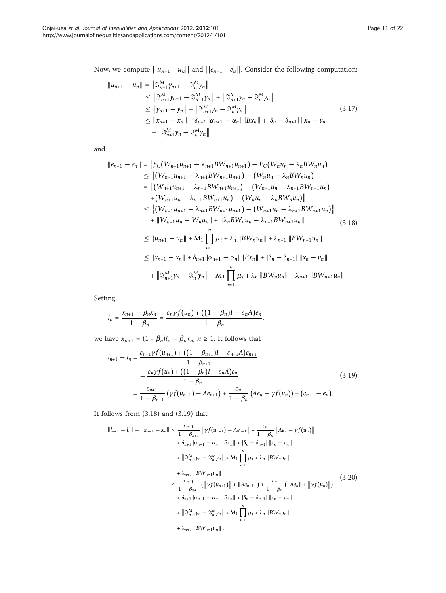Now, we compute  $||u_{n+1} - u_n||$  and  $||e_{n+1} - e_n||$ . Consider the following computation:

$$
||u_{n+1} - u_n|| = ||\mathfrak{I}_{n+1}^{M} \gamma_{n+1} - \mathfrak{I}_{n}^{M} \gamma_n||
$$
  
\n
$$
\leq ||\mathfrak{I}_{n+1}^{M} \gamma_{n+1} - \mathfrak{I}_{n+1}^{M} \gamma_n|| + ||\mathfrak{I}_{n+1}^{M} \gamma_n - \mathfrak{I}_{n}^{M} \gamma_n||
$$
  
\n
$$
\leq ||\gamma_{n+1} - \gamma_n|| + ||\mathfrak{I}_{n+1}^{M} \gamma_n - \mathfrak{I}_{n}^{M} \gamma_n||
$$
  
\n
$$
\leq ||x_{n+1} - x_n|| + \delta_{n+1} |\alpha_{n+1} - \alpha_n| ||Bx_n|| + |\delta_n - \delta_{n+1}| ||x_n - v_n||
$$
  
\n
$$
+ ||\mathfrak{I}_{n+1}^{M} \gamma_n - \mathfrak{I}_{n}^{M} \gamma_n||
$$
\n(3.17)

and

$$
||e_{n+1} - e_n|| = ||p_C(W_{n+1}u_{n+1} - \lambda_{n+1}BW_{n+1}u_{n+1}) - P_C(W_nu_n - \lambda_nBW_nu_n)||
$$
  
\n
$$
\leq ||(W_{n+1}u_{n+1} - \lambda_{n+1}BW_{n+1}u_{n+1}) - (W_nu_n - \lambda_nBW_nu_n)||
$$
  
\n
$$
= ||(W_{n+1}u_{n+1} - \lambda_{n+1}BW_{n+1}u_{n+1}) - (W_{n+1}u_n - \lambda_{n+1}BW_{n+1}u_n)
$$
  
\n
$$
+ (W_{n+1}u_n - \lambda_{n+1}BW_{n+1}u_n) - (W_nu_n - \lambda_nBW_nu_n)||
$$
  
\n
$$
\leq ||(W_{n+1}u_{n+1} - \lambda_{n+1}BW_{n+1}u_{n+1}) - (W_{n+1}u_n - \lambda_{n+1}BW_{n+1}u_n)||
$$
  
\n
$$
+ ||W_{n+1}u_n - W_nu_n|| + ||\lambda_nBW_nu_n - \lambda_{n+1}BW_{n+1}u_n||
$$
  
\n
$$
\leq ||u_{n+1} - u_n|| + M_1 \prod_{i=1}^n \mu_i + \lambda_n ||BW_nu_n|| + \lambda_{n+1} ||BW_{n+1}u_n||
$$
  
\n
$$
\leq ||x_{n+1} - x_n|| + \delta_{n+1} |\alpha_{n+1} - \alpha_n||Bx_n|| + |\delta_n - \delta_{n+1}||x_n - v_n||
$$
  
\n
$$
+ ||\Im_{n+1}^M \gamma_n - \Im_n^M \gamma_n|| + M_1 \prod_{i=1}^n \mu_i + \lambda_n ||BW_nu_n|| + \lambda_{n+1} ||BW_{n+1}u_n||.
$$

Setting

$$
l_n=\frac{x_{n+1}-\beta_nx_n}{1-\beta_n}=\frac{\varepsilon_n\gamma f(u_n)+((1-\beta_n)I-\varepsilon_nA)e_n}{1-\beta_n},
$$

we have  $x_{n+1} = (1 - \beta_n)l_n + \beta_n x_n$ ,  $n \ge 1$ . It follows that

$$
l_{n+1} - l_n = \frac{\varepsilon_{n+1} \gamma f(u_{n+1}) + ((1 - \beta_{n+1})I - \varepsilon_{n+1}A)e_{n+1}}{1 - \beta_{n+1}} - \frac{\varepsilon_n \gamma f(u_n) + ((1 - \beta_n)I - \varepsilon_n A)e_n}{1 - \beta_n} = \frac{\varepsilon_{n+1}}{1 - \beta_{n+1}} \left( \gamma f(u_{n+1}) - Ae_{n+1} \right) + \frac{\varepsilon_n}{1 - \beta_n} \left( Ae_n - \gamma f(u_n) \right) + (e_{n+1} - e_n).
$$
\n(3.19)

It follows from (3.18) and (3.19) that

$$
||l_{n+1} - l_n|| - ||x_{n+1} - x_n|| \leq \frac{\varepsilon_{n+1}}{1 - \beta_{n+1}} ||\gamma f(u_{n+1}) - A e_{n+1}|| + \frac{\varepsilon_n}{1 - \beta_n} ||A e_n - \gamma f(u_n)||
$$
  
+  $\delta_{n+1} |\alpha_{n+1} - \alpha_n| ||B x_n|| + |\delta_n - \delta_{n+1}| ||x_n - v_n||$   
+  $||\Im_{n+1}^M \gamma_n - \Im_n^M \gamma_n|| + M_1 \prod_{i=1}^n \mu_i + \lambda_n ||B W_n u_n||$   
+  $\lambda_{n+1} ||B W_{n+1} u_n||$   
 $\leq \frac{\varepsilon_{n+1}}{1 - \beta_{n+1}} (||\gamma f(u_{n+1})|| + ||A e_{n+1}||) + \frac{\varepsilon_n}{1 - \beta_n} (||A e_n|| + ||\gamma f(u_n)||)$   
+  $\delta_{n+1} |\alpha_{n+1} - \alpha_n| ||B x_n|| + |\delta_n - \delta_{n+1}| ||x_n - v_n||$   
+  $||\Im_{n+1}^M \gamma_n - \Im_n^M \gamma_n|| + M_1 \prod_{i=1}^n \mu_i + \lambda_n ||B W_n u_n||$   
+  $\lambda_{n+1} ||B W_{n+1} u_n||$ .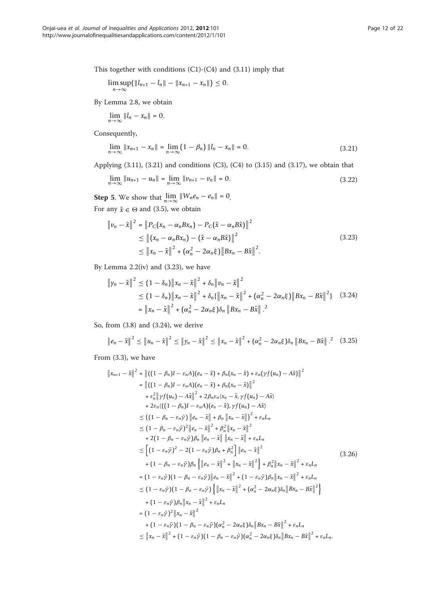This together with conditions (C1)-(C4) and (3.11) imply that

$$
\limsup_{n\to\infty} (\|l_{n+1}-l_n\|-\|x_{n+1}-x_n\|)\leq 0.
$$

By Lemma 2.8, we obtain

$$
\lim_{n\to\infty}||l_n-x_n||=0.
$$

Consequently,

$$
\lim_{n \to \infty} \|x_{n+1} - x_n\| = \lim_{n \to \infty} (1 - \beta_n) \|l_n - x_n\| = 0.
$$
\n(3.21)

Applying (3.11), (3.21) and conditions (C3), (C4) to (3.15) and (3.17), we obtain that

$$
\lim_{n \to \infty} \|u_{n+1} - u_n\| = \lim_{n \to \infty} \|v_{n+1} - v_n\| = 0.
$$
\n(3.22)

**Step 5.** We show that  $\lim_{n\to\infty} ||W_n e_n - e_n|| = 0$ . For any  $\tilde{x} \in \Theta$  and (3.5), we obtain

$$
\|v_n - \tilde{x}\|^2 = \|P_C(x_n - \alpha_n B x_n) - P_C(\tilde{x} - \alpha_n B \tilde{x})\|^2
$$
  
\n
$$
\leq \|(x_n - \alpha_n B x_n) - (\tilde{x} - \alpha_n B \tilde{x})\|^2
$$
  
\n
$$
\leq \|x_n - \tilde{x}\|^2 + (\alpha_n^2 - 2\alpha_n \xi) \|B x_n - B \tilde{x}\|^2.
$$
\n(3.23)

By Lemma  $2.2(iv)$  and  $(3.23)$ , we have

$$
\|y_n - \tilde{x}\|^2 \le (1 - \delta_n) \|x_n - \tilde{x}\|^2 + \delta_n \|y_n - \tilde{x}\|^2
$$
  
\n
$$
\le (1 - \delta_n) \|x_n - \tilde{x}\|^2 + \delta_n \{\|x_n - \tilde{x}\|^2 + (\alpha_n^2 - 2\alpha_n \xi) \|Bx_n - B\tilde{x}\|^2\}
$$
 (3.24)  
\n
$$
= \|x_n - \tilde{x}\|^2 + (\alpha_n^2 - 2\alpha_n \xi) \delta_n \|Bx_n - B\tilde{x}\|^2
$$

So, from (3.8) and (3.24), we derive

$$
\|e_n - \tilde{x}\|^2 \le \|u_n - \tilde{x}\|^2 \le \|y_n - \tilde{x}\|^2 \le \|x_n - \tilde{x}\|^2 + (\alpha_n^2 - 2\alpha_n \xi)\delta_n \|Bx_n - B\tilde{x}\|^2. \tag{3.25}
$$

From (3.3), we have

$$
\|x_{n+1} - \tilde{x}\|^2 = \left\| ((1 - \beta_n)I - \varepsilon_n A)(e_n - \tilde{x}) + \beta_n (x_n - \tilde{x}) + \varepsilon_n (\gamma f(u_n) - A\tilde{x}) \right\|^2
$$
  
\n
$$
= \left\| ((1 - \beta_n)I - \varepsilon_n A)(e_n - \tilde{x}) + \beta_n (x_n - \tilde{x}) \right\|^2
$$
  
\n
$$
+ \varepsilon_n^2 \left\| \gamma f(u_n) - A\tilde{x} \right\|^2 + 2\beta_n \varepsilon_n (x_n - \tilde{x}, \gamma f(u_n) - A\tilde{x})
$$
  
\n
$$
+ 2\varepsilon_n ((1 - \beta_n)I - \varepsilon_n A)(e_n - \tilde{x}), \gamma f(u_n) - A\tilde{x})
$$
  
\n
$$
\leq ((1 - \beta_n - \varepsilon_n \bar{\gamma}) \|e_n - \tilde{x}\| + \beta_n \|x_n - \tilde{x}\|)^2 + \varepsilon_n L_n
$$
  
\n
$$
\leq (1 - \beta_n - \varepsilon_n \bar{\gamma})^2 \|e_n - \tilde{x}\| + \beta_n^2 \|x_n - \tilde{x}\| + \varepsilon_n L_n
$$
  
\n
$$
\leq [(1 - \varepsilon_n \bar{\gamma})^2 - 2(1 - \varepsilon_n \bar{\gamma})\beta_n + \beta_n^2] \|e_n - \tilde{x}\|^2
$$
  
\n
$$
+ (1 - \beta_n - \varepsilon_n \bar{\gamma})\beta_n \left\{ \|e_n - \tilde{x}\|^2 + \|x_n - \tilde{x}\|^2 \right\} + \beta_n^2 \|x_n - \tilde{x}\|^2 + \varepsilon_n L_n
$$
  
\n
$$
= (1 - \varepsilon_n \bar{\gamma})(1 - \beta_n - \varepsilon_n \bar{\gamma}) \|e_n - \tilde{x}\|^2 + (1 - \varepsilon_n \bar{\gamma})\beta_n \|x_n - \tilde{x}\|^2 + \varepsilon_n L_n
$$
  
\n
$$
\leq (1 - \varepsilon_n \bar{\gamma})(1 - \beta_n - \varepsilon_n \bar{\gamma}) \left\{ \|x_n - \tilde{x}\|^2 + (\alpha_n^2 - 2\alpha_n \bar{\varepsilon})\delta_n \|Bx_n - B\tilde{x}\|^2 \right\}
$$
  
\n
$$
+ (1 -
$$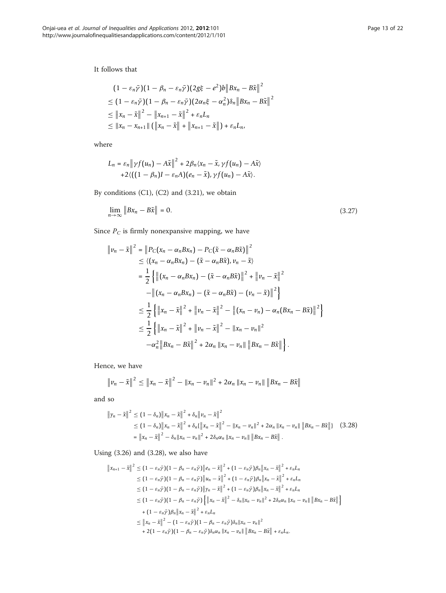It follows that

$$
(1 - \varepsilon_n \bar{y})(1 - \beta_n - \varepsilon_n \bar{y})(2g\xi - e^2)b \|Bx_n - B\tilde{x}\|^2
$$
  
\n
$$
\leq (1 - \varepsilon_n \bar{y})(1 - \beta_n - \varepsilon_n \bar{y})(2\alpha_n \xi - \alpha_n^2)\delta_n \|Bx_n - B\tilde{x}\|^2
$$
  
\n
$$
\leq ||x_n - \tilde{x}||^2 - ||x_{n+1} - \tilde{x}||^2 + \varepsilon_n L_n
$$
  
\n
$$
\leq ||x_n - x_{n+1}|| (||x_n - \tilde{x}|| + ||x_{n+1} - \tilde{x}||) + \varepsilon_n L_n,
$$

where

$$
L_n = \varepsilon_n \|\gamma f(u_n) - A\tilde{x}\|^2 + 2\beta_n \langle x_n - \tilde{x}, \gamma f(u_n) - A\tilde{x} \rangle
$$
  
+2  $\langle ((1 - \beta_n)I - \varepsilon_n A)(e_n - \tilde{x}), \gamma f(u_n) - A\tilde{x} \rangle$ .

By conditions (C1), (C2) and (3.21), we obtain

$$
\lim_{n \to \infty} \|Bx_n - B\tilde{x}\| = 0. \tag{3.27}
$$

Since  $P_C$  is firmly nonexpansive mapping, we have

$$
\|v_n - \tilde{x}\|^2 = \|P_C(x_n - \alpha_n B x_n) - P_C(\tilde{x} - \alpha_n B \tilde{x})\|^2
$$
  
\n
$$
\leq \langle (x_n - \alpha_n B x_n) - (\tilde{x} - \alpha_n B \tilde{x}), v_n - \tilde{x} \rangle
$$
  
\n
$$
= \frac{1}{2} \left\{ \left\| (x_n - \alpha_n B x_n) - (\tilde{x} - \alpha_n B \tilde{x}) \right\|^2 + \left\| v_n - \tilde{x} \right\|^2 \right\}
$$
  
\n
$$
- \left\| (x_n - \alpha_n B x_n) - (\tilde{x} - \alpha_n B \tilde{x}) - (v_n - \tilde{x}) \right\|^2 \right\}
$$
  
\n
$$
\leq \frac{1}{2} \left\{ \left\| x_n - \tilde{x} \right\|^2 + \left\| v_n - \tilde{x} \right\|^2 - \left\| (x_n - v_n) - \alpha_n (B x_n - B \tilde{x}) \right\|^2 \right\}
$$
  
\n
$$
\leq \frac{1}{2} \left\{ \left\| x_n - \tilde{x} \right\|^2 + \left\| v_n - \tilde{x} \right\|^2 - \left\| x_n - v_n \right\|^2
$$
  
\n
$$
- \alpha_n^2 \left\| B x_n - B \tilde{x} \right\|^2 + 2 \alpha_n \left\| x_n - v_n \right\| \left\| B x_n - B \tilde{x} \right\| \right\}.
$$

Hence, we have

$$
\|v_n - \tilde{x}\|^2 \le \|x_n - \tilde{x}\|^2 - \|x_n - v_n\|^2 + 2\alpha_n \|x_n - v_n\| \|Bx_n - B\tilde{x}\|
$$

and so

$$
\|y_n - \tilde{x}\|^2 \le (1 - \delta_n) \|x_n - \tilde{x}\|^2 + \delta_n \|v_n - \tilde{x}\|^2
$$
  
\n
$$
\le (1 - \delta_n) \|x_n - \tilde{x}\|^2 + \delta_n (\|x_n - \tilde{x}\|^2 - \|x_n - v_n\|^2 + 2\alpha_n \|x_n - v_n\| \|Bx_n - B\tilde{x}\|) \quad (3.28)
$$
  
\n
$$
= \|x_n - \tilde{x}\|^2 - \delta_n \|x_n - v_n\|^2 + 2\delta_n \alpha_n \|x_n - v_n\| \|Bx_n - B\tilde{x}\|.
$$

Using (3.26) and (3.28), we also have

$$
\|x_{n+1} - \tilde{x}\|^2 \le (1 - \varepsilon_n \bar{y})(1 - \beta_n - \varepsilon_n \bar{y})\|e_n - \tilde{x}\|^2 + (1 - \varepsilon_n \bar{y})\beta_n\|x_n - \tilde{x}\|^2 + \varepsilon_n L_n
$$
  
\n
$$
\le (1 - \varepsilon_n \bar{y})(1 - \beta_n - \varepsilon_n \bar{y})\|u_n - \tilde{x}\|^2 + (1 - \varepsilon_n \bar{y})\beta_n\|x_n - \tilde{x}\|^2 + \varepsilon_n L_n
$$
  
\n
$$
\le (1 - \varepsilon_n \bar{y})(1 - \beta_n - \varepsilon_n \bar{y})\|y_n - \tilde{x}\|^2 + (1 - \varepsilon_n \bar{y})\beta_n\|x_n - \tilde{x}\|^2 + \varepsilon_n L_n
$$
  
\n
$$
\le (1 - \varepsilon_n \bar{y})(1 - \beta_n - \varepsilon_n \bar{y})\left\{\|x_n - \tilde{x}\|^2 - \delta_n\|x_n - u_n\|^2 + 2\delta_n \alpha_n\|x_n - u_n\|\|Bx_n - B\tilde{x}\|\right\}
$$
  
\n
$$
+ (1 - \varepsilon_n \bar{y})\beta_n\|x_n - \tilde{x}\|^2 + \varepsilon_n L_n
$$
  
\n
$$
\le \|x_n - \tilde{x}\|^2 - (1 - \varepsilon_n \bar{y})(1 - \beta_n - \varepsilon_n \bar{y})\delta_n\|x_n - u_n\|^2
$$
  
\n
$$
+ 2(1 - \varepsilon_n \bar{y})(1 - \beta_n - \varepsilon_n \bar{y})\delta_n \alpha_n\|x_n - v_n\| \|Bx_n - B\tilde{x}\| + \varepsilon_n L_n.
$$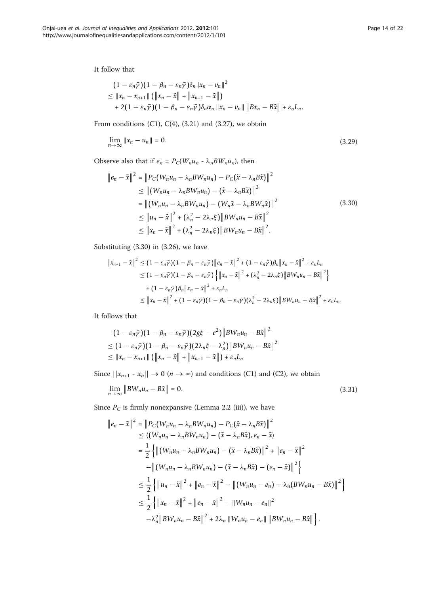It follow that

$$
(1 - \varepsilon_n \bar{\gamma})(1 - \beta_n - \varepsilon_n \bar{\gamma})\delta_n \|x_n - v_n\|^2
$$
  
\$\leq \|x\_n - x\_{n+1}\| (\|x\_n - \tilde{x}\| + \|x\_{n+1} - \tilde{x}\|)\$  
+ 2(1 - \varepsilon\_n \bar{\gamma})(1 - \beta\_n - \varepsilon\_n \bar{\gamma})\delta\_n \alpha\_n \|x\_n - v\_n\| \|Bx\_n - B\tilde{x}\| + \varepsilon\_n L\_n\$.

From conditions  $(C1)$ ,  $C(4)$ ,  $(3.21)$  and  $(3.27)$ , we obtain

$$
\lim_{n \to \infty} ||x_n - u_n|| = 0. \tag{3.29}
$$

Observe also that if  $e_n = P_C(W_nu_n - \lambda_nBW_nu_n)$ , then

$$
\|e_{n} - \tilde{x}\|^{2} = \|P_{C}(W_{n}u_{n} - \lambda_{n}BW_{n}u_{n}) - P_{C}(\tilde{x} - \lambda_{n}B\tilde{x})\|^{2}
$$
  
\n
$$
\leq \left\| (W_{n}u_{n} - \lambda_{n}BW_{n}u_{n}) - (\tilde{x} - \lambda_{n}B\tilde{x})\right\|^{2}
$$
  
\n
$$
= \left\| (W_{n}u_{n} - \lambda_{n}BW_{n}u_{n}) - (W_{n}\tilde{x} - \lambda_{n}BW_{n}\tilde{x})\right\|^{2}
$$
  
\n
$$
\leq \|u_{n} - \tilde{x}\|^{2} + (\lambda_{n}^{2} - 2\lambda_{n}\xi)\|BW_{n}u_{n} - B\tilde{x}\|^{2}
$$
  
\n
$$
\leq \|x_{n} - \tilde{x}\|^{2} + (\lambda_{n}^{2} - 2\lambda_{n}\xi)\|BW_{n}u_{n} - B\tilde{x}\|^{2}.
$$
 (3.30)

Substituting (3.30) in (3.26), we have

$$
\|x_{n+1} - \tilde{x}\|^2 \le (1 - \varepsilon_n \bar{y})(1 - \beta_n - \varepsilon_n \bar{y})\|e_n - \tilde{x}\|^2 + (1 - \varepsilon_n \bar{y})\beta_n\|x_n - \tilde{x}\|^2 + \varepsilon_n L_n
$$
  
\n
$$
\le (1 - \varepsilon_n \bar{y})(1 - \beta_n - \varepsilon_n \bar{y})\left\{\|x_n - \tilde{x}\|^2 + (\lambda_n^2 - 2\lambda_n \xi)\|BW_n u_n - B\tilde{x}\|^2\right\}
$$
  
\n
$$
+ (1 - \varepsilon_n \bar{y})\beta_n\|x_n - \tilde{x}\|^2 + \varepsilon_n L_n
$$
  
\n
$$
\le \|x_n - \tilde{x}\|^2 + (1 - \varepsilon_n \bar{y})(1 - \beta_n - \varepsilon_n \bar{y})(\lambda_n^2 - 2\lambda_n \xi)\|BW_n u_n - B\tilde{x}\|^2 + \varepsilon_n L_n.
$$

It follows that

$$
(1 - \varepsilon_n \bar{\gamma})(1 - \beta_n - \varepsilon_n \bar{\gamma})(2g\xi - e^2) \|BW_n u_n - B\tilde{x}\|^2
$$
  
\n
$$
\leq (1 - \varepsilon_n \bar{\gamma})(1 - \beta_n - \varepsilon_n \bar{\gamma})(2\lambda_n \xi - \lambda_n^2) \|BW_n u_n - B\tilde{x}\|^2
$$
  
\n
$$
\leq ||x_n - x_{n+1}|| (\Vert x_n - \tilde{x} \Vert + \Vert x_{n+1} - \tilde{x} \Vert) + \varepsilon_n L_n
$$

Since  $||x_{n+1} - x_n|| \to 0$   $(n \to \infty)$  and conditions (C1) and (C2), we obtain

$$
\lim_{n \to \infty} \|BW_n u_n - B\tilde{x}\| = 0. \tag{3.31}
$$

Since  $P_C$  is firmly nonexpansive (Lemma 2.2 (iii)), we have

$$
\|e_{n} - \tilde{x}\|^{2} = \|P_{C}(W_{n}u_{n} - \lambda_{n}BW_{n}u_{n}) - P_{C}(\tilde{x} - \lambda_{n}B\tilde{x})\|^{2}
$$
  
\n
$$
\leq \langle (W_{n}u_{n} - \lambda_{n}BW_{n}u_{n}) - (\tilde{x} - \lambda_{n}B\tilde{x}), e_{n} - \tilde{x} \rangle
$$
  
\n
$$
= \frac{1}{2} \left\{ \left\| (W_{n}u_{n} - \lambda_{n}BW_{n}u_{n}) - (\tilde{x} - \lambda_{n}B\tilde{x})\right\|^{2} + \left\| e_{n} - \tilde{x} \right\|^{2} \right\}
$$
  
\n
$$
- \left\| (W_{n}u_{n} - \lambda_{n}BW_{n}u_{n}) - (\tilde{x} - \lambda_{n}B\tilde{x}) - (e_{n} - \tilde{x})\right\|^{2} \right\}
$$
  
\n
$$
\leq \frac{1}{2} \left\{ \left\| u_{n} - \tilde{x} \right\|^{2} + \left\| e_{n} - \tilde{x} \right\|^{2} - \left\| (W_{n}u_{n} - e_{n}) - \lambda_{n} (BW_{n}u_{n} - B\tilde{x}) \right\|^{2} \right\}
$$
  
\n
$$
\leq \frac{1}{2} \left\{ \left\| x_{n} - \tilde{x} \right\|^{2} + \left\| e_{n} - \tilde{x} \right\|^{2} - \left\| W_{n}u_{n} - e_{n} \right\|^{2}
$$
  
\n
$$
- \lambda_{n}^{2} \left\| BW_{n}u_{n} - B\tilde{x} \right\|^{2} + 2\lambda_{n} \left\| W_{n}u_{n} - e_{n} \right\| \left\| BW_{n}u_{n} - B\tilde{x} \right\| \right\}.
$$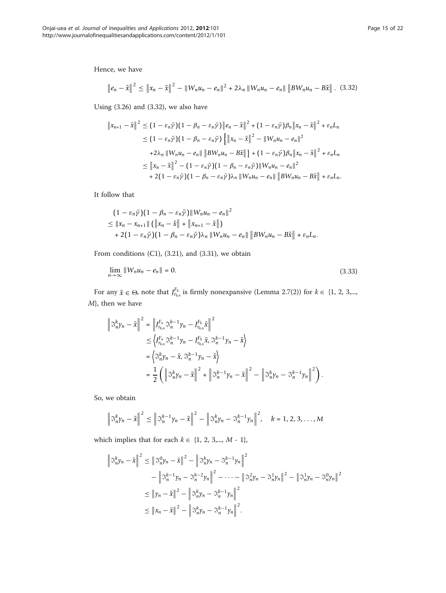Hence, we have

$$
\|e_n - \tilde{x}\|^2 \le \|x_n - \tilde{x}\|^2 - \|W_n u_n - e_n\|^2 + 2\lambda_n \|W_n u_n - e_n\| \|BW_n u_n - B\tilde{x}\|.
$$
 (3.32)

Using (3.26) and (3.32), we also have

$$
\|x_{n+1} - \tilde{x}\|^2 \leq (1 - \varepsilon_n \bar{y})(1 - \beta_n - \varepsilon_n \bar{y})\|e_n - \tilde{x}\|^2 + (1 - \varepsilon_n \bar{y})\beta_n\|x_n - \tilde{x}\|^2 + \varepsilon_n L_n
$$
  
\n
$$
\leq (1 - \varepsilon_n \bar{y})(1 - \beta_n - \varepsilon_n \bar{y})\left\{\|x_n - \tilde{x}\|^2 - \|W_n u_n - e_n\|^2 + 2\lambda_n \|W_n u_n - e_n\| \|BW_n u_n - B\tilde{x}\| \right\} + (1 - \varepsilon_n \bar{y})\beta_n \|x_n - \tilde{x}\|^2 + \varepsilon_n L_n
$$
  
\n
$$
\leq \|x_n - \tilde{x}\|^2 - (1 - \varepsilon_n \bar{y})(1 - \beta_n - \varepsilon_n \bar{y})\|W_n u_n - e_n\|^2
$$
  
\n
$$
+ 2(1 - \varepsilon_n \bar{y})(1 - \beta_n - \varepsilon_n \bar{y})\lambda_n \|W_n u_n - e_n\| \|BW_n u_n - B\tilde{x}\| + \varepsilon_n L_n.
$$

It follow that

$$
(1 - \varepsilon_n \bar{\gamma})(1 - \beta_n - \varepsilon_n \bar{\gamma}) \|W_n u_n - e_n\|^2
$$
  
\n
$$
\leq ||x_n - x_{n+1}|| (||x_n - \tilde{x}|| + ||x_{n+1} - \tilde{x}||)
$$
  
\n
$$
+ 2(1 - \varepsilon_n \bar{\gamma})(1 - \beta_n - \varepsilon_n \bar{\gamma})\lambda_n \|W_n u_n - e_n\| \|BW_n u_n - B\tilde{x}|| + \varepsilon_n L_n.
$$

From conditions (C1), (3.21), and (3.31), we obtain

$$
\lim_{n \to \infty} \|W_n u_n - e_n\| = 0. \tag{3.33}
$$

For any  $\tilde{x} \in \Theta$ , note that  $J_{r_{k,n}}^{F_k}$  is firmly nonexpansive (Lemma 2.7(2)) for  $k \in \{1, 2, 3,...,$ M}, then we have

$$
\begin{split} \left\| \mathbb{S}_{n}^{k} \gamma_{n} - \tilde{x} \right\|^{2} &= \left\| J_{r_{k,n}}^{F_{n}} \mathbb{S}_{n}^{k-1} \gamma_{n} - J_{r_{k,n}}^{F_{k}} \tilde{x} \right\|^{2} \\ &\leq \left\langle J_{r_{k,n}}^{F_{n}} \mathbb{S}_{n}^{k-1} \gamma_{n} - J_{r_{k,n}}^{F_{k}} \tilde{x}, \mathbb{S}_{n}^{k-1} \gamma_{n} - \tilde{x} \right\rangle \\ &= \left\langle \mathbb{S}_{n}^{k} \gamma_{n} - \tilde{x}, \mathbb{S}_{n}^{k-1} \gamma_{n} - \tilde{x} \right\rangle \\ &= \frac{1}{2} \left( \left\| \mathbb{S}_{n}^{k} \gamma_{n} - \tilde{x} \right\|^{2} + \left\| \mathbb{S}_{n}^{k-1} \gamma_{n} - \tilde{x} \right\|^{2} - \left\| \mathbb{S}_{n}^{k} \gamma_{n} - \mathbb{S}_{n}^{k-1} \gamma_{n} \right\|^{2} \right). \end{split}
$$

So, we obtain

$$
\left\|\mathfrak{S}_{n}^{k}\gamma_{n}-\tilde{x}\right\|^{2}\leq\left\|\mathfrak{S}_{n}^{k-1}\gamma_{n}-\tilde{x}\right\|^{2}-\left\|\mathfrak{S}_{n}^{k}\gamma_{n}-\mathfrak{S}_{n}^{k-1}\gamma_{n}\right\|^{2},\quad k=1,2,3,\ldots,M
$$

which implies that for each  $k \in \{1, 2, 3,..., M - 1\}$ ,

$$
\left\| \mathfrak{S}_{n}^{k} \gamma_{n} - \tilde{x} \right\|^{2} \leq \left\| \mathfrak{S}_{n}^{0} \gamma_{n} - \tilde{x} \right\|^{2} - \left\| \mathfrak{S}_{n}^{k} \gamma_{n} - \mathfrak{S}_{n}^{k-1} \gamma_{n} \right\|^{2}
$$
  
- 
$$
\left\| \mathfrak{S}_{n}^{k-1} \gamma_{n} - \mathfrak{S}_{n}^{k-2} \gamma_{n} \right\|^{2} - \dots - \left\| \mathfrak{S}_{n}^{2} \gamma_{n} - \mathfrak{S}_{n}^{1} \gamma_{n} \right\|^{2} - \left\| \mathfrak{S}_{n}^{1} \gamma_{n} - \mathfrak{S}_{n}^{0} \gamma_{n} \right\|^{2}
$$
  

$$
\leq \left\| \gamma_{n} - \tilde{x} \right\|^{2} - \left\| \mathfrak{S}_{n}^{k} \gamma_{n} - \mathfrak{S}_{n}^{k-1} \gamma_{n} \right\|^{2}
$$
  

$$
\leq \left\| x_{n} - \tilde{x} \right\|^{2} - \left\| \mathfrak{S}_{n}^{k} \gamma_{n} - \mathfrak{S}_{n}^{k-1} \gamma_{n} \right\|^{2}.
$$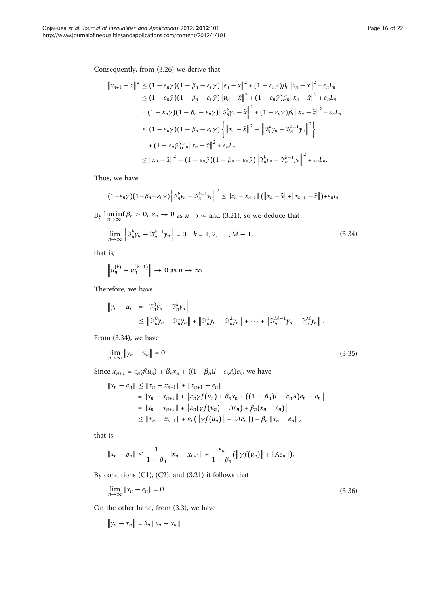$$
\|x_{n+1} - \tilde{x}\|^2 \le (1 - \varepsilon_n \bar{y})(1 - \beta_n - \varepsilon_n \bar{y})\|e_n - \tilde{x}\|^2 + (1 - \varepsilon_n \bar{y})\beta_n \|x_n - \tilde{x}\|^2 + \varepsilon_n L_n
$$
  
\n
$$
\le (1 - \varepsilon_n \bar{y})(1 - \beta_n - \varepsilon_n \bar{y})\|u_n - \tilde{x}\|^2 + (1 - \varepsilon_n \bar{y})\beta_n \|x_n - \tilde{x}\|^2 + \varepsilon_n L_n
$$
  
\n
$$
= (1 - \varepsilon_n \bar{y})(1 - \beta_n - \varepsilon_n \bar{y})\| \tilde{x}_n^k y_n - \tilde{x}\|^2 + (1 - \varepsilon_n \bar{y})\beta_n \|x_n - \tilde{x}\|^2 + \varepsilon_n L_n
$$
  
\n
$$
\le (1 - \varepsilon_n \bar{y})(1 - \beta_n - \varepsilon_n \bar{y})\left\{ \|x_n - \tilde{x}\|^2 - \left\| \tilde{x}_n^k y_n - \tilde{x}_n^{k-1} y_n \right\|^2 \right\}
$$
  
\n
$$
+ (1 - \varepsilon_n \bar{y})\beta_n \|x_n - \tilde{x}\|^2 + \varepsilon_n L_n
$$
  
\n
$$
\le \|x_n - \tilde{x}\|^2 - (1 - \varepsilon_n \bar{y})(1 - \beta_n - \varepsilon_n \bar{y})\| \tilde{x}_n^k y_n - \tilde{x}_n^{k-1} y_n \|^2 + \varepsilon_n L_n.
$$

Thus, we have

$$
(1-\varepsilon_n\bar{\gamma})(1-\beta_n-\varepsilon_n\bar{\gamma})\left\|\mathfrak{S}_n^k\gamma_n-\mathfrak{S}_n^{k-1}\gamma_n\right\|^2\leq\left\|x_n-x_{n+1}\right\|\left(\left\|x_n-\tilde{x}\right\|+\left\|x_{n+1}-\tilde{x}\right\|\right)+\varepsilon_nL_n.
$$

By  $\liminf_{n \to \infty} \beta_n > 0$ ,  $\varepsilon_n \to 0$  as  $n \to \infty$  and (3.21), so we deduce that

$$
\lim_{n \to \infty} \left\| \mathcal{S}_n^k \gamma_n - \mathcal{S}_n^{k-1} \gamma_n \right\| = 0, \ \ k = 1, 2, ..., M - 1,
$$
\n(3.34)

that is,

$$
\left\|u_n^{(k)}-u_n^{(k-1)}\right\| \to 0 \text{ as } n \to \infty.
$$

Therefore, we have

$$
\begin{aligned} \|y_n - u_n\| &= \left\| \mathfrak{S}_n^0 y_n - \mathfrak{S}_n^k y_n \right\| \\ &\leq \left\| \mathfrak{S}_n^0 y_n - \mathfrak{S}_n^1 y_n \right\| + \left\| \mathfrak{S}_n^1 y_n - \mathfrak{S}_n^2 y_n \right\| + \dots + \left\| \mathfrak{S}_n^{M-1} y_n - \mathfrak{S}_n^M y_n \right\|. \end{aligned}
$$

From (3.34), we have

$$
\lim_{n \to \infty} \|y_n - u_n\| = 0. \tag{3.35}
$$

Since  $x_{n+1} = \epsilon_n \mathcal{J}(u_n) + \beta_n x_n + ((1 - \beta_n)I - \epsilon_n A)e_n$ , we have

$$
||x_n - e_n|| \le ||x_n - x_{n+1}|| + ||x_{n+1} - e_n||
$$
  
\n
$$
= ||x_n - x_{n+1}|| + ||\varepsilon_n \gamma f(u_n) + \beta_n x_n + ((1 - \beta_n)I - \varepsilon_n A)e_n - e_n||
$$
  
\n
$$
= ||x_n - x_{n+1}|| + ||\varepsilon_n(\gamma f(u_n) - Ae_n) + \beta_n(x_n - e_n)||
$$
  
\n
$$
\le ||x_n - x_{n+1}|| + \varepsilon_n(||\gamma f(u_n)|| + ||Ae_n||) + \beta_n ||x_n - e_n||,
$$

that is,

$$
||x_n - e_n|| \leq \frac{1}{1 - \beta_n} ||x_n - x_{n+1}|| + \frac{\varepsilon_n}{1 - \beta_n} (||\gamma f(u_n)|| + ||Ae_n||).
$$

By conditions (C1), (C2), and (3.21) it follows that

$$
\lim_{n \to \infty} \|x_n - e_n\| = 0. \tag{3.36}
$$

On the other hand, from (3.3), we have

$$
\|\gamma_n-x_n\|=\delta_n\,\|v_n-x_n\|.
$$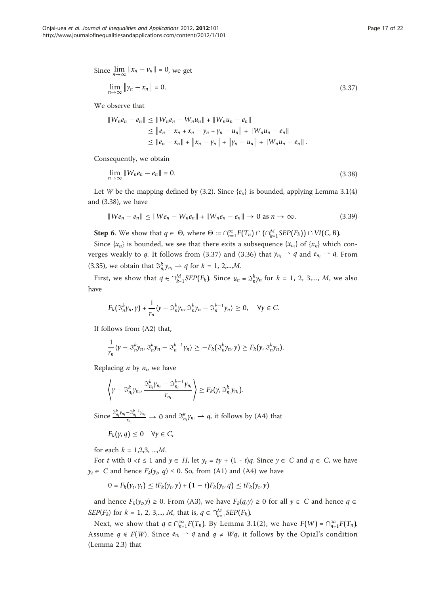Since 
$$
\lim_{n \to \infty} ||x_n - v_n|| = 0
$$
, we get

$$
\lim_{n \to \infty} \|\gamma_n - x_n\| = 0. \tag{3.37}
$$

We observe that

$$
||W_n e_n - e_n|| \le ||W_n e_n - W_n u_n|| + ||W_n u_n - e_n||
$$
  
\n
$$
\le ||e_n - x_n + x_n - y_n + y_n - u_n|| + ||W_n u_n - e_n||
$$
  
\n
$$
\le ||e_n - x_n|| + ||x_n - y_n|| + ||y_n - u_n|| + ||W_n u_n - e_n||.
$$

Consequently, we obtain

$$
\lim_{n \to \infty} \|W_n e_n - e_n\| = 0. \tag{3.38}
$$

Let W be the mapping defined by (3.2). Since  $\{e_n\}$  is bounded, applying Lemma 3.1(4) and (3.38), we have

$$
||We_n - e_n|| \le ||We_n - W_n e_n|| + ||W_n e_n - e_n|| \to 0 \text{ as } n \to \infty.
$$
 (3.39)

**Step 6.** We show that  $q \in \Theta$ , where  $\Theta := \bigcap_{n=1}^{\infty} F(T_n) \cap (\bigcap_{k=1}^{M} SEP(F_k)) \cap VI(C, B)$ .

Since  $\{x_n\}$  is bounded, we see that there exits a subsequence  $\{x_{n_i}\}$  of  $\{x_n\}$  which converges weakly to q. It follows from (3.37) and (3.36) that  $\gamma_{n_i} \rightarrow q$  and  $e_{n_i} \rightarrow q$ . From (3.35), we obtain that  $\mathfrak{S}_{n_i}^k \gamma_{n_i} \rightharpoonup q$  for  $k = 1, 2, \ldots, M$ .

First, we show that  $q \in \bigcap_{k=1}^{M} \text{SEP}(F_k)$ . Since  $u_n = \mathcal{S}_n^k y_n$  for  $k = 1, 2, 3, ..., M$ , we also have

$$
F_k(\mathcal{S}_n^k \gamma_n, \gamma) + \frac{1}{r_n} \langle \gamma - \mathcal{S}_n^k \gamma_n, \mathcal{S}_n^k \gamma_n - \mathcal{S}_n^{k-1} \gamma_n \rangle \geq 0, \quad \forall \gamma \in C.
$$

If follows from (A2) that,

$$
\frac{1}{r_n}\langle \gamma - \mathfrak{S}_n^k \gamma_n, \mathfrak{S}_n^k \gamma_n - \mathfrak{S}_n^{k-1} \gamma_n \rangle \geq -F_k(\mathfrak{S}_n^k \gamma_n, \gamma) \geq F_k(\gamma, \mathfrak{S}_n^k \gamma_n).
$$

Replacing *n* by  $n_i$ , we have

$$
\left\langle \gamma - \mathfrak{S}_{n_i}^k \gamma_{n_i}, \frac{\mathfrak{S}_{n_i}^k \gamma_{n_i} - \mathfrak{S}_{n_i}^{k-1} \gamma_{n_i}}{r_{n_i}} \right\rangle \geq F_k(\gamma, \mathfrak{S}_{n_i}^k \gamma_{n_i}).
$$

Since  $\frac{\Im_{n_i}^k \gamma_{n_i} - \Im_{n_i}^{k-1} \gamma_{n_i}}{r}$  $\frac{r-\mathfrak{D}_{n_i}\cdot \mathfrak{D}_{n_i}}{r_{n_i}} \to 0$  and  $\mathfrak{D}_{n_i}^k \gamma_{n_i} \to q$ , it follows by (A4) that

$$
F_k(\gamma, q) \leq 0 \quad \forall \gamma \in C,
$$

for each  $k = 1,2,3, ..., M$ .

For t with  $0 < t \leq 1$  and  $y \in H$ , let  $y_t = ty + (1 - t)q$ . Since  $y \in C$  and  $q \in C$ , we have  $y_t \in C$  and hence  $F_k(y_t, q) \le 0$ . So, from (A1) and (A4) we have

 $0 = F_k(y_t, y_t) \le t F_k(y_t, y) + (1 - t) F_k(y_t, q) \le t F_k(y_t, y)$ 

and hence  $F_k(y_p y) \ge 0$ . From (A3), we have  $F_k(q,y) \ge 0$  for all  $y \in C$  and hence  $q \in$  $SEP(F_k)$  for  $k = 1, 2, 3,..., M$ , that is,  $q \in \bigcap_{k=1}^{M} SEP(F_k)$ .

Next, we show that  $q \in \bigcap_{n=1}^{\infty} F(T_n)$ . By Lemma 3.1(2), we have  $F(W) = \bigcap_{n=1}^{\infty} F(T_n)$ . Assume  $q \notin F(W)$ . Since  $e_{n_i} \rightharpoonup q$  and  $q \neq Wq$ , it follows by the Opial's condition (Lemma 2.3) that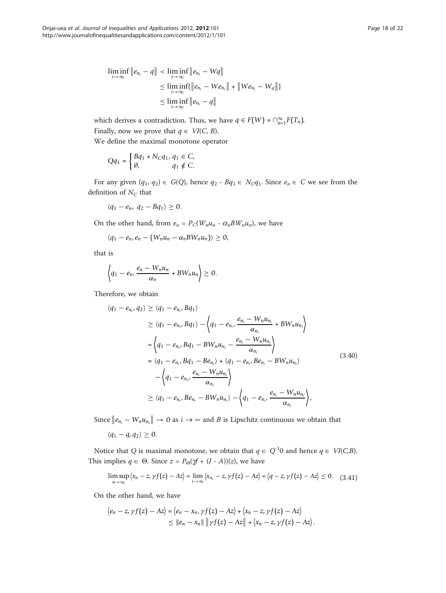$$
\liminf_{i \to \infty} \|e_{n_i} - q\| < \liminf_{i \to \infty} \|e_{n_i} - Wq\| \\
\leq \liminf_{i \to \infty} \|e_{n_i} - We_{n_i}\| + \|We_{n_i} - Wq\|\} \\
\leq \liminf_{i \to \infty} \|e_{n_i} - q\|
$$

which derives a contradiction. Thus, we have  $q \in F(W) = \bigcap_{n=1}^{\infty} F(T_n)$ . Finally, now we prove that  $q \in VI(C, B)$ .

We define the maximal monotone operator

$$
Qq_1 = \begin{cases} Bq_1 + N_Cq_1, q_1 \in C, \\ \emptyset, q_1 \notin C. \end{cases}
$$

For any given  $(q_1, q_2) \in G(Q)$ , hence  $q_2$  -  $Bq_1 \in N_Cq_1$ . Since  $e_n \in C$  we see from the definition of  $N_C$  that

$$
\langle q_1-e_n, q_2-Bq_1\rangle\geq 0.
$$

On the other hand, from  $e_n = P_C(W_n u_n - \alpha_n BW_n u_n)$ , we have

$$
\langle q_1-e_n, e_n-(W_nu_n-\alpha_nBW_nu_n)\rangle\geq 0,
$$

that is

$$
\left\langle q_1-e_n,\frac{e_n-W_nu_n}{\alpha_n}+BW_nu_n\right\rangle\geq 0.
$$

Therefore, we obtain

$$
\langle q_{1} - e_{n_{i}}, q_{2} \rangle \geq \langle q_{1} - e_{n_{i}}, B q_{1} \rangle
$$
  
\n
$$
\geq \langle q_{1} - e_{n_{i}}, B q_{1} \rangle - \left\langle q_{1} - e_{n_{i}}, \frac{e_{n_{i}} - W_{n} u_{n_{i}}}{\alpha_{n_{i}}} + BW_{n} u_{n_{i}} \right\rangle
$$
  
\n
$$
= \left\langle q_{1} - e_{n_{i}}, B q_{1} - BW_{n} u_{n_{i}} - \frac{e_{n_{i}} - W_{n} u_{n_{i}}}{\alpha_{n_{i}}} \right\rangle
$$
  
\n
$$
= \left\langle q_{1} - e_{n_{i}}, B q_{1} - B e_{n_{i}} \right\rangle + \left\langle q_{1} - e_{n_{i}}, B e_{n_{i}} - BW_{n} u_{n_{i}} \right\rangle
$$
  
\n
$$
- \left\langle q_{1} - e_{n_{i}}, \frac{e_{n_{i}} - W_{n} u_{n_{i}}}{\alpha_{n_{i}}} \right\rangle
$$
  
\n
$$
\geq \left\langle q_{1} - e_{n_{i}}, B e_{n_{i}} - BW_{n} u_{n_{i}} \right\rangle - \left\langle q_{1} - e_{n_{i}}, \frac{e_{n_{i}} - W_{n} u_{n_{i}}}{\alpha_{n_{i}}} \right\rangle,
$$
\n(3.40)

Since  $||e_{n_i} - W_n u_{n_i}|| \to 0$  as  $i \to \infty$  and B is Lipschitz continuous we obtain that

$$
\langle q_1-q, q_2\rangle\geq 0.
$$

Notice that Q is maximal monotone, we obtain that  $q \in Q^{-1}0$  and hence  $q \in VI(C,B)$ . This implies  $q \in \Theta$ . Since  $z = P_{\Theta}(\mathcal{Y} + (I - A))(z)$ , we have

$$
\limsup_{n\to\infty} \left\langle x_n - z, \gamma f(z) - Az \right\rangle = \lim_{i\to\infty} \left\langle x_{n_i} - z, \gamma f(z) - Az \right\rangle = \left\langle q - z, \gamma f(z) - Az \right\rangle \leq 0. \quad (3.41)
$$

On the other hand, we have

$$
\langle e_n - z, \gamma f(z) - Az \rangle = \langle e_n - x_n, \gamma f(z) - Az \rangle + \langle x_n - z, \gamma f(z) - Az \rangle
$$
  
 
$$
\leq ||e_n - x_n|| \, ||\gamma f(z) - Az|| + \langle x_n - z, \gamma f(z) - Az \rangle.
$$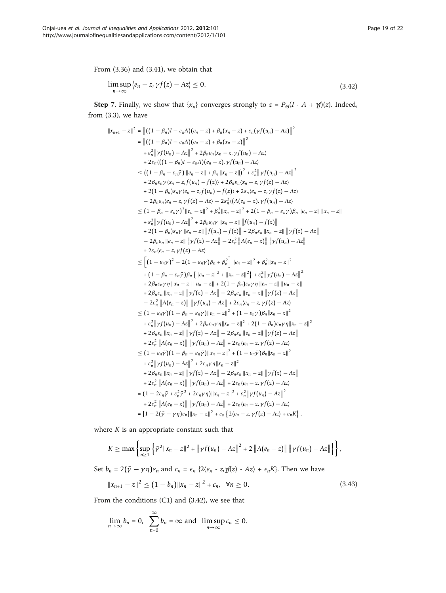From (3.36) and (3.41), we obtain that

$$
\limsup_{n \to \infty} \langle e_n - z, \gamma f(z) - Az \rangle \le 0. \tag{3.42}
$$

**Step** 7. Finally, we show that  $\{x_n\}$  converges strongly to  $z = P_{\Theta}(I - A + \gamma f)(z)$ . Indeed, from (3.3), we have

$$
||x_{n+1} - z||^2 = ||((1 - \beta_n)I - \varepsilon_nA)(e_n - z) + \beta_n(x_n - z) + \varepsilon_n(\gamma f(u_n) - Az)||^2
$$
  
\n
$$
= ||((1 - \beta_n)I - \varepsilon_nA)(e_n - z) + \beta_n(x_n - z)\gamma f(u_n) - Az
$$
  
\n
$$
+ \varepsilon_n^2 ||\gamma f(u_n) - Az||^2 + 2\beta_n\varepsilon_n(x_n - z, \gamma f(u_n) - Az)
$$
  
\n
$$
\leq ((1 - \beta_n)I - \varepsilon_nA)(e_n - z), \gamma f(u_n) - Az
$$
  
\n
$$
\leq ((1 - \beta_n - \varepsilon_n\gamma) ||e_n - z|| + \beta_n ||x_n - z||^2 + \varepsilon_n^2 ||\gamma f(u_n) - Az||^2
$$
  
\n
$$
+ 2\beta_n\varepsilon_n\gamma(x_n - z, f(u_n) - f(z)) + 2\beta_n\varepsilon_n(x_n - z, \gamma f(z) - Az)
$$
  
\n
$$
+ 2(1 - \beta_n)\varepsilon_n\gamma(e_n - z, f(u_n) - f(z)) + 2\varepsilon_n(e_n - z, \gamma f(z) - Az)
$$
  
\n
$$
- 2\beta_n\varepsilon_n(e_n - z, \gamma f(z) - Az) - 2\varepsilon_n^2((A(e_n - z), \gamma f(u_n) - Az)
$$
  
\n
$$
\leq (1 - \beta_n - \varepsilon_n\bar{\gamma})^2 ||e_n - z||^2 + \beta_n^2 ||x_n - z||^2 + 2(1 - \beta_n - \varepsilon_n\bar{\gamma})\beta_n ||e_n - z|| ||x_n - z||
$$
  
\n
$$
+ \varepsilon_n^2 ||\gamma f(u_n) - Az||^2 + 2\beta_n\varepsilon_n\gamma ||x_n - z|| ||f(u_n) - f(z)||
$$
  
\n
$$
+ 2(1 - \beta_n)\varepsilon_n\gamma ||e_n - z|| ||f(u_n) - f(z)|| + 2\beta_n\varepsilon_n ||x_n - z|| ||\gamma f(z) - Az||
$$
  
\n
$$
- 2\beta_n\varepsilon_n ||e_n - z|| ||\gamma f(z) - Az|| - 2\varepsilon_n^2 ||A(e_n - z)|| ||\gamma f(u_n) - Az||
$$
  
\n
$$
+ 2\beta_n\varepsilon_n ||x
$$

where  $K$  is an appropriate constant such that

$$
K \geq \max \left\{ \sup_{n \geq 1} \left\{ \bar{\gamma}^2 \|x_n - z\|^2 + \left\| \gamma f(u_n) - Az \right\|^2 + 2 \left\| A(e_n - z) \right\| \left\| \gamma f(u_n) - Az \right\| \right\} \right\},\
$$

Set  $b_n = 2(\bar{\gamma} - \gamma \eta) \varepsilon_n$  and  $c_n = \varepsilon_n$  {2 $\langle e_n - z \cdot z \cdot z \cdot z \rangle + \varepsilon_n K$ }. Then we have

$$
||x_{n+1} - z||^2 \le (1 - b_n) ||x_n - z||^2 + c_n, \quad \forall n \ge 0.
$$
 (3.43)

From the conditions (C1) and (3.42), we see that

$$
\lim_{n\to\infty}b_n=0,\ \ \sum_{n=0}^{\infty}b_n=\infty\ \text{and}\ \ \limsup_{n\to\infty}c_n\leq 0.
$$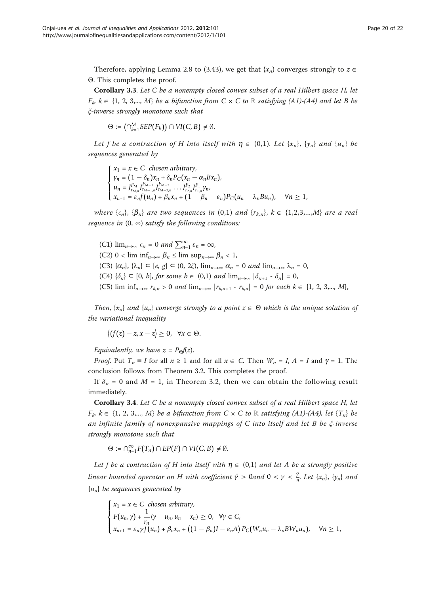Therefore, applying Lemma 2.8 to (3.43), we get that  $\{x_n\}$  converges strongly to  $z \in$ Θ. This completes the proof.

Corollary 3.3. Let C be a nonempty closed convex subset of a real Hilbert space H, let  $F_k$   $k \in \{1, 2, 3,..., M\}$  be a bifunction from  $C \times C$  to ℝ satisfying (A1)-(A4) and let B be ξ-inverse strongly monotone such that

$$
\Theta := \left(\cap_{k=1}^M \underline{SEP}(F_k)\right) \cap VI(C, B) \neq \emptyset.
$$

Let f be a contraction of H into itself with  $\eta \in (0,1)$ . Let  $\{x_n\}$ ,  $\{y_n\}$  and  $\{u_n\}$  be sequences generated by

 $\sqrt{2}$  $\int$  $\overline{\mathsf{I}}$  $x_1 = x \in C$  *chosen arbitrary*,  $y_n = (1 - \delta_n)x_n + \delta_n P_C(x_n - \alpha_n Bx_n),$  $u_n = J_{r_{M,n}}^{F_M} J_{r_{M-1,n}}^{F_{M-1}} J_{r_{M-2,n}}^{F_{M-2}} \dots J_{r_{2,n}}^{F_2} J_{r_{1,n}}^{F_1} \gamma_n$  $x_{n+1} = \varepsilon_n f(u_n) + \beta_n x_n + (1 - \beta_n - \varepsilon_n) P_C(u_n - \lambda_n B u_n), \quad \forall n \ge 1,$ 

where  $\{\epsilon_n\}$ ,  $\{\beta_n\}$  are two sequences in  $(0,1)$  and  $\{r_{k,n}\}$ ,  $k \in \{1,2,3,...,M\}$  are a real sequence in  $(0, \infty)$  satisfy the following conditions:

(C1)  $\lim_{n\to\infty} \epsilon_n = 0$  and  $\sum_{n=1}^{\infty} \epsilon_n = \infty$ , (C2) 0 < lim inf<sub>n→∞</sub>  $\beta_n \leq \limsup_{n\to\infty} \beta_n < 1$ , (C3)  $\{\alpha_n\}, \{\lambda_n\} \subset [e, g] \subset (0, 2\xi), \lim_{n \to \infty} \alpha_n = 0$  and  $\lim_{n \to \infty} \lambda_n = 0$ , (C4)  $\{\delta_n\} \subset [0, b]$ , for some  $b \in (0,1)$  and  $\lim_{n\to\infty} |\delta_{n+1} - \delta_n| = 0$ , (C5) lim inf<sub>n→∞</sub>  $r_{k,n} > 0$  and lim<sub>n→∞</sub>  $|r_{k,n+1} - r_{k,n}| = 0$  for each  $k \in \{1, 2, 3,..., M\}$ ,

Then,  $\{x_n\}$  and  $\{u_n\}$  converge strongly to a point  $z \in \Theta$  which is the unique solution of the variational inequality

 $\langle (f(z)-z, x-z) \geq 0, \forall x \in \Theta.$ 

Equivalently, we have  $z = P_{\Theta}f(z)$ .

*Proof.* Put  $T_n \equiv I$  for all  $n \ge 1$  and for all  $x \in C$ . Then  $W_n = I$ ,  $A = I$  and  $\gamma = 1$ . The conclusion follows from Theorem 3.2. This completes the proof.

If  $\delta_n = 0$  and  $M = 1$ , in Theorem 3.2, then we can obtain the following result immediately.

Corollary 3.4. Let C be a nonempty closed convex subset of a real Hilbert space H, let  $F_k$   $k \in \{1, 2, 3,..., M\}$  be a bifunction from  $C \times C$  to ℝ satisfying (A1)-(A4), let  ${T_n}$  be an infinite family of nonexpansive mappings of C into itself and let B be ξ-inverse strongly monotone such that

 $\Theta := \bigcap_{n=1}^{\infty} F(T_n) \cap EP(F) \cap VI(C, B) \neq \emptyset.$ 

Let f be a contraction of H into itself with  $\eta \in (0,1)$  and let A be a strongly positive linear bounded operator on H with coefficient  $\bar{\gamma} > 0$ and  $0 < \gamma < \frac{\bar{\gamma}}{\eta}$ . Let  $\{x_n\}$ ,  $\{y_n\}$  and  $\{u_n\}$  be sequences generated by

$$
\begin{cases}\nx_1 = x \in C \text{ chosen arbitrary,} \\
F(u_n, \gamma) + \frac{1}{r_n} \langle \gamma - u_n, u_n - x_n \rangle \ge 0, \quad \forall \gamma \in C, \\
x_{n+1} = \varepsilon_n \gamma f(u_n) + \beta_n x_n + \left( (1 - \beta_n)I - \varepsilon_n A \right) P_C(W_n u_n - \lambda_n B W_n u_n), \quad \forall n \ge 1,\n\end{cases}
$$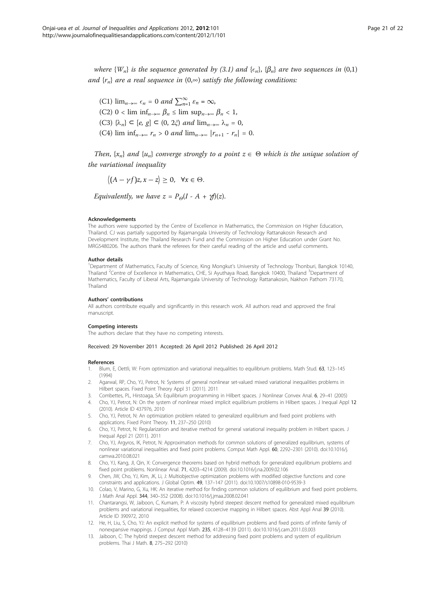<span id="page-20-0"></span>where  $\{W_n\}$  is the sequence generated by (3.1) and  $\{\epsilon_n\}$ ,  $\{\beta_n\}$  are two sequences in (0,1) and  $\{r_n\}$  are a real sequence in  $(0, \infty)$  satisfy the following conditions:

(C1)  $\lim_{n\to\infty} \epsilon_n = 0$  and  $\sum_{n=1}^{\infty} \epsilon_n = \infty$ , (C2) 0 < lim inf<sub>n→∞</sub>  $\beta_n \leq \limsup_{n\to\infty} \beta_n < 1$ , (C3)  $\{\lambda_n\} \subset [e, g] \subset (0, 2\xi)$  and  $\lim_{n \to \infty} \lambda_n = 0$ , (C4) lim inf<sub>n→∞</sub>  $r_n > 0$  and lim<sub>n→∞</sub>  $|r_{n+1} - r_n| = 0$ .

Then,  $\{x_n\}$  and  $\{u_n\}$  converge strongly to a point  $z \in \Theta$  which is the unique solution of the variational inequality

 $\langle (A - \gamma f)z, x - z \rangle \geq 0, \quad \forall x \in \Theta.$ 

Equivalently, we have  $z = P_{\Theta}(I - A + \gamma f)(z)$ .

#### Acknowledgements

The authors were supported by the Centre of Excellence in Mathematics, the Commission on Higher Education, Thailand. CJ was partially supported by Rajamangala University of Technology Rattanakosin Research and Development Institute, the Thailand Research Fund and the Commission on Higher Education under Grant No. MRG5480206. The authors thank the referees for their careful reading of the article and useful comments.

### Author details

1 Department of Mathematics, Faculty of Science, King Mongkut's University of Technology Thonburi, Bangkok 10140, Thailand <sup>2</sup>Centre of Excellence in Mathematics, CHE, Si Ayuthaya Road, Bangkok 10400, Thailand <sup>3</sup>Department of Mathematics, Faculty of Liberal Arts, Rajamangala University of Technology Rattanakosin, Nakhon Pathom 73170, Thailand

#### Authors' contributions

All authors contribute equally and significantly in this research work. All authors read and approved the final manuscript.

#### Competing interests

The authors declare that they have no competing interests.

# Received: 29 November 2011 Accepted: 26 April 2012 Published: 26 April 2012

#### References

- 1. Blum, E, Oettli, W: From optimization and variational inequalities to equilibrium problems. Math Stud. 63, 123–145 (1994)
- 2. Agarwal, RP, Cho, YJ, Petrot, N: Systems of general nonlinear set-valued mixed variational inequalities problems in Hilbert spaces. Fixed Point Theory Appl 31 (2011). 2011
- 3. Combettes, PL, Hirstoaga, SA: Equilibrium programming in Hilbert spaces. J Nonlinear Convex Anal. 6, 29–41 (2005)
- 4. Cho, YJ, Petrot, N: On the system of nonlinear mixed implicit equilibrium problems in Hilbert spaces. J Inequal Appl 12 (2010). Article ID 437976, 2010
- 5. Cho, YJ, Petrot, N: An optimization problem related to generalized equilibrium and fixed point problems with applications. Fixed Point Theory. 11, 237–250 (2010)
- 6. Cho, YJ, Petrot, N: Regularization and iterative method for general variational inequality problem in Hilbert spaces. J Inequal Appl 21 (2011). 2011
- 7. Cho, YJ, Argyros, IK, Petrot, N: Approximation methods for common solutions of generalized equilibrium, systems of nonlinear variational inequalities and fixed point problems. Comput Math Appl. 60, 2292–2301 (2010). doi:10.1016/j. camwa.2010.08.021
- 8. Cho, YJ, Kang, JI, Qin, X: Convergence theorems based on hybrid methods for generalized equilibrium problems and fixed point problems. Nonlinear Anal. 71, 4203–4214 (2009). doi:10.1016/j.na.2009.02.106
- 9. Chen, JW, Cho, YJ, Kim, JK, Li, J: Multiobjective optimization problems with modified objective functions and cone constraints and applications. J Global Optim. 49, 137–147 (2011). doi:10.1007/s10898-010-9539-3
- 10. Colao, V, Marino, G, Xu, HK: An iterative method for finding common solutions of equilibrium and fixed point problems. J Math Anal Appl. 344, 340–352 (2008). doi:10.1016/j.jmaa.2008.02.041
- 11. Chantarangsi, W, Jaiboon, C, Kumam, P: A viscosity hybrid steepest descent method for generalized mixed equilibrium problems and variational inequalities, for relaxed cocoercive mapping in Hilbert spaces. Abst Appl Anal 39 (2010). Article ID 390972, 2010
- 12. He, H, Liu, S, Cho, YJ: An explicit method for systems of equilibrium problems and fixed points of infinite family of nonexpansive mappings. J Comput Appl Math. 235, 4128–4139 (2011). doi:10.1016/j.cam.2011.03.003
- 13. Jaiboon, C: The hybrid steepest descent method for addressing fixed point problems and system of equilibrium problems. Thai J Math. 8, 275–292 (2010)